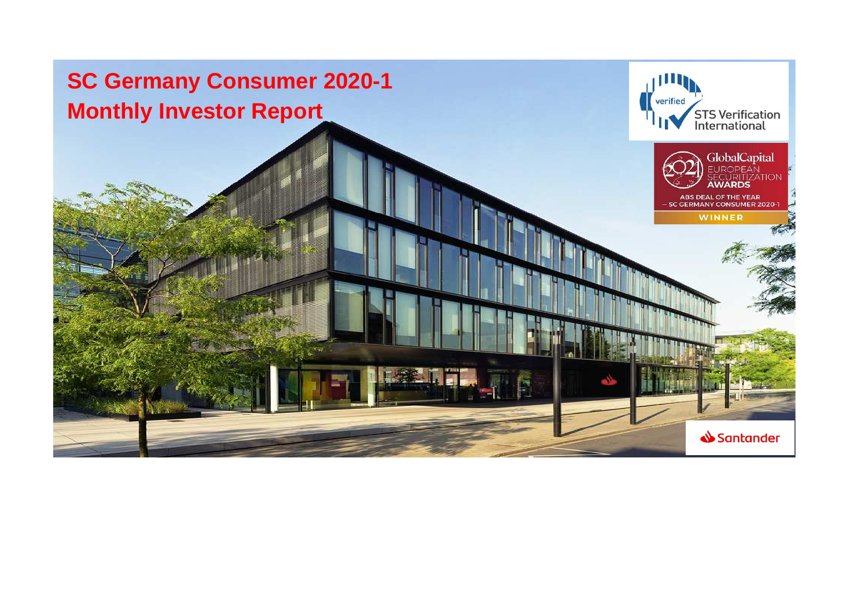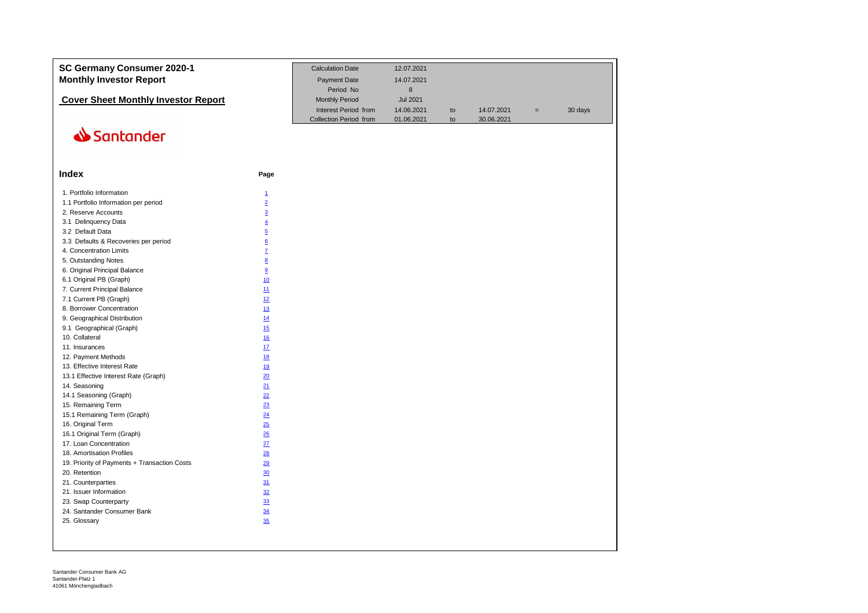| SC Germany Consumer 2020-1<br><b>Monthly Investor Report</b> |                 | <b>Calculation Date</b><br>Payment Date        | 12.07.2021<br>14.07.2021 |          |            |                   |         |
|--------------------------------------------------------------|-----------------|------------------------------------------------|--------------------------|----------|------------|-------------------|---------|
|                                                              |                 | Period No                                      | 8                        |          |            |                   |         |
| <b>Cover Sheet Monthly Investor Report</b>                   |                 | <b>Monthly Period</b>                          | <b>Jul 2021</b>          |          |            |                   |         |
|                                                              |                 | Interest Period from<br>Collection Period from | 14.06.2021<br>01.06.2021 | to<br>to | 14.07.2021 | $\qquad \qquad =$ | 30 days |
|                                                              |                 |                                                |                          |          | 30.06.2021 |                   |         |
| Santander                                                    |                 |                                                |                          |          |            |                   |         |
|                                                              |                 |                                                |                          |          |            |                   |         |
| Index                                                        | Page            |                                                |                          |          |            |                   |         |
| 1. Portfolio Information                                     | $\overline{1}$  |                                                |                          |          |            |                   |         |
| 1.1 Portfolio Information per period                         | $\overline{2}$  |                                                |                          |          |            |                   |         |
| 2. Reserve Accounts                                          | $\overline{3}$  |                                                |                          |          |            |                   |         |
| 3.1 Delinquency Data                                         | $\overline{4}$  |                                                |                          |          |            |                   |         |
| 3.2 Default Data                                             | $\overline{5}$  |                                                |                          |          |            |                   |         |
| 3.3 Defaults & Recoveries per period                         | $\underline{6}$ |                                                |                          |          |            |                   |         |
| 4. Concentration Limits                                      | $\overline{L}$  |                                                |                          |          |            |                   |         |
| 5. Outstanding Notes                                         | 8               |                                                |                          |          |            |                   |         |
| 6. Original Principal Balance                                | 9               |                                                |                          |          |            |                   |         |
| 6.1 Original PB (Graph)                                      | 10              |                                                |                          |          |            |                   |         |
| 7. Current Principal Balance                                 | 11              |                                                |                          |          |            |                   |         |
| 7.1 Current PB (Graph)                                       | 12              |                                                |                          |          |            |                   |         |
| 8. Borrower Concentration                                    | 13              |                                                |                          |          |            |                   |         |
| 9. Geographical Distribution                                 | 14              |                                                |                          |          |            |                   |         |
| 9.1 Geographical (Graph)                                     | 15              |                                                |                          |          |            |                   |         |
| 10. Collateral                                               | 16              |                                                |                          |          |            |                   |         |
| 11. Insurances                                               | 17              |                                                |                          |          |            |                   |         |
| 12. Payment Methods                                          | 18              |                                                |                          |          |            |                   |         |
| 13. Effective Interest Rate                                  | 19              |                                                |                          |          |            |                   |         |
| 13.1 Effective Interest Rate (Graph)                         | 20              |                                                |                          |          |            |                   |         |
| 14. Seasoning                                                | 21              |                                                |                          |          |            |                   |         |
| 14.1 Seasoning (Graph)                                       | 22              |                                                |                          |          |            |                   |         |
| 15. Remaining Term                                           | 23              |                                                |                          |          |            |                   |         |
| 15.1 Remaining Term (Graph)                                  | 24              |                                                |                          |          |            |                   |         |
| 16. Original Term                                            | 25              |                                                |                          |          |            |                   |         |
| 16.1 Original Term (Graph)                                   | 26              |                                                |                          |          |            |                   |         |
| 17. Loan Concentration                                       | 27              |                                                |                          |          |            |                   |         |
| 18. Amortisation Profiles                                    | 28              |                                                |                          |          |            |                   |         |
| 19. Priority of Payments + Transaction Costs                 | 29              |                                                |                          |          |            |                   |         |
| 20. Retention                                                | 30              |                                                |                          |          |            |                   |         |
| 21. Counterparties                                           | 31              |                                                |                          |          |            |                   |         |
|                                                              |                 |                                                |                          |          |            |                   |         |
| 21. Issuer Information                                       | 32              |                                                |                          |          |            |                   |         |
| 23. Swap Counterparty                                        | 33              |                                                |                          |          |            |                   |         |
| 24. Santander Consumer Bank                                  | 34              |                                                |                          |          |            |                   |         |
| 25. Glossary                                                 | 35              |                                                |                          |          |            |                   |         |
|                                                              |                 |                                                |                          |          |            |                   |         |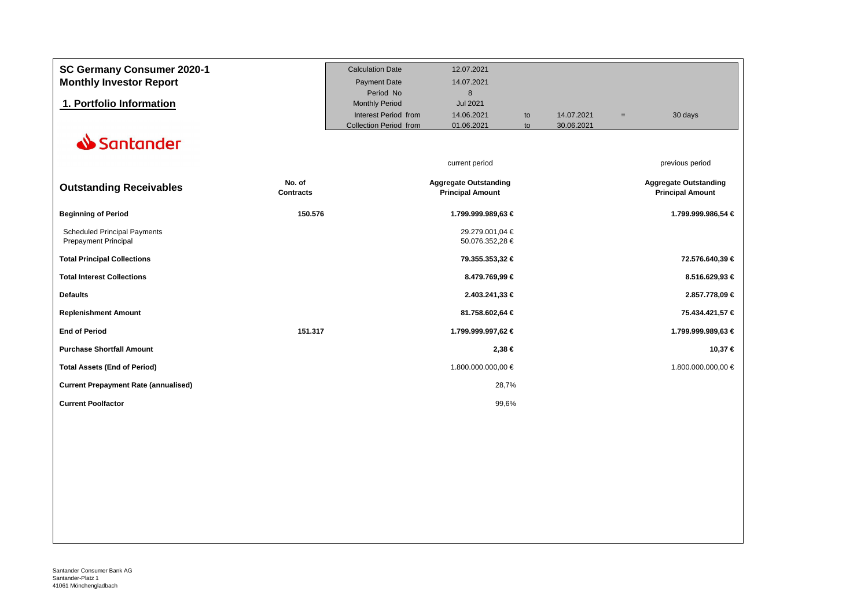| SC Germany Consumer 2020-1                  |                  | <b>Calculation Date</b>       | 12.07.2021                   |    |            |     |                              |
|---------------------------------------------|------------------|-------------------------------|------------------------------|----|------------|-----|------------------------------|
| <b>Monthly Investor Report</b>              |                  | <b>Payment Date</b>           | 14.07.2021                   |    |            |     |                              |
|                                             |                  | Period No                     | 8                            |    |            |     |                              |
| 1. Portfolio Information                    |                  | <b>Monthly Period</b>         | Jul 2021                     |    |            |     |                              |
|                                             |                  | Interest Period from          | 14.06.2021                   | to | 14.07.2021 | $=$ | 30 days                      |
|                                             |                  | <b>Collection Period from</b> | 01.06.2021                   | to | 30.06.2021 |     |                              |
| Santander                                   |                  |                               |                              |    |            |     |                              |
|                                             |                  |                               |                              |    |            |     |                              |
|                                             |                  |                               | current period               |    |            |     | previous period              |
|                                             | No. of           |                               | <b>Aggregate Outstanding</b> |    |            |     | <b>Aggregate Outstanding</b> |
| <b>Outstanding Receivables</b>              | <b>Contracts</b> |                               | <b>Principal Amount</b>      |    |            |     | <b>Principal Amount</b>      |
| <b>Beginning of Period</b>                  | 150.576          |                               | 1.799.999.989,63 €           |    |            |     | 1.799.999.986,54 €           |
| <b>Scheduled Principal Payments</b>         |                  |                               | 29.279.001,04 €              |    |            |     |                              |
| <b>Prepayment Principal</b>                 |                  |                               | 50.076.352,28 €              |    |            |     |                              |
| <b>Total Principal Collections</b>          |                  |                               | 79.355.353,32 €              |    |            |     | 72.576.640,39 €              |
| <b>Total Interest Collections</b>           |                  |                               | 8.479.769,99 €               |    |            |     | 8.516.629,93 €               |
| <b>Defaults</b>                             |                  |                               | 2.403.241,33 €               |    |            |     | 2.857.778,09 €               |
| <b>Replenishment Amount</b>                 |                  |                               | 81.758.602,64 €              |    |            |     | 75.434.421,57 €              |
| <b>End of Period</b>                        | 151.317          |                               | 1.799.999.997,62 €           |    |            |     | 1.799.999.989,63 €           |
| <b>Purchase Shortfall Amount</b>            |                  |                               | 2,38 €                       |    |            |     | 10,37 €                      |
| <b>Total Assets (End of Period)</b>         |                  |                               | 1.800.000.000,00 €           |    |            |     | 1.800.000.000,00 €           |
| <b>Current Prepayment Rate (annualised)</b> |                  |                               | 28,7%                        |    |            |     |                              |
| <b>Current Poolfactor</b>                   |                  |                               | 99,6%                        |    |            |     |                              |
|                                             |                  |                               |                              |    |            |     |                              |
|                                             |                  |                               |                              |    |            |     |                              |
|                                             |                  |                               |                              |    |            |     |                              |
|                                             |                  |                               |                              |    |            |     |                              |
|                                             |                  |                               |                              |    |            |     |                              |
|                                             |                  |                               |                              |    |            |     |                              |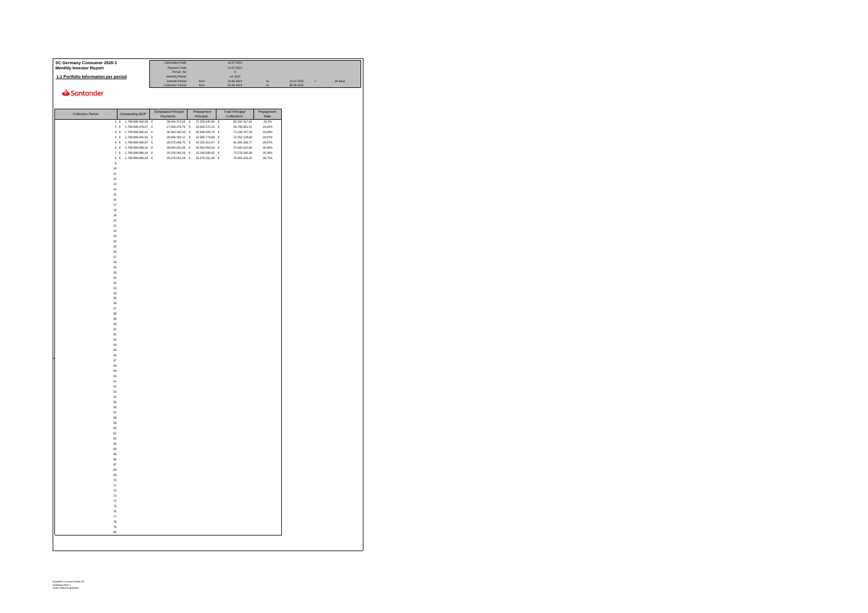| SC Germany Consumer 2020-1           |                                                                                                                                           | Calculation Date                  |                                                                    | 12.07.2021                            |                    |            |            |         |
|--------------------------------------|-------------------------------------------------------------------------------------------------------------------------------------------|-----------------------------------|--------------------------------------------------------------------|---------------------------------------|--------------------|------------|------------|---------|
| Monthly Investor Report              |                                                                                                                                           | Payment Date<br>Period No         |                                                                    | 14.07.2021<br>$\overline{\mathbf{8}}$ |                    |            |            |         |
| 1.1 Portfolio Information per period |                                                                                                                                           | Monthly Period<br>Interest Period | from                                                               | <b>Jul 2021</b><br>14.06.2021         | to                 | 14.07.2021 | $\sim$ $-$ | 30 days |
|                                      |                                                                                                                                           | <b>Collection Period</b>          | from                                                               | 01.06.2021                            |                    | 30.06.2021 |            |         |
| Santander                            |                                                                                                                                           |                                   |                                                                    |                                       |                    |            |            |         |
|                                      |                                                                                                                                           |                                   |                                                                    |                                       |                    |            |            |         |
| Collection Period                    | Outstanding BOP                                                                                                                           | Scheduled Principal<br>Payments   | Prepayment<br>Principal                                            | <b>Total Principal</b><br>Collections | Prepayment<br>Rate |            |            |         |
|                                      | 1 € 1.799.999.933,09 €                                                                                                                    |                                   | 28.004.372,02 € 37.328.045,90 €                                    | 65.332.417,92                         | 22,2%              |            |            |         |
|                                      | 2 € 1.799.999.978.57 €<br>3 € 1.799.999.995,61 €                                                                                          |                                   | 27.656.379.76 € 32.092.572.15 €<br>30.260.180,50 € 40.849.586,79 € | 59.748.951.91<br>71.109.767.29        | 19.42%<br>24.08%   |            |            |         |
|                                      | $4 \ \ \epsilon \quad \  1.799.999.991,50 \quad \  \epsilon$                                                                              |                                   | 29.666.354,11 € 42.585.774,69 €                                    | 72.252.128,80                         | 24,97%             |            |            |         |
|                                      | $\begin{matrix} 6 \end{matrix} \quad \in \quad \begin{matrix} 1.799.999.993.97 & \text{€} \end{matrix}$<br>6 $\in$ 1.799.999.998,42 $\in$ | 29.272.948,70 €                   | 52.031.411,07 $\in$<br>28.945.451,65 € 45.554.564,24 €             | 81.304.359,77<br>74.500.015,89        | 29,67%<br>26,48%   |            |            |         |
|                                      | 7 $\in$ 1.799.999.986,54 $\in$                                                                                                            |                                   | 29.236.040,56 € 43.340.599,83 €                                    | 72.576.640,39                         | 25,36%             |            |            |         |
|                                      | 8 $\in$ 1.799.999.989,63 $\in$                                                                                                            |                                   | 29.279.001,04 € 50.076.352,28 €                                    | 79.355.353,32                         | 28,72%             |            |            |         |
| $\overline{9}$<br>10                 |                                                                                                                                           |                                   |                                                                    |                                       |                    |            |            |         |
| 11                                   |                                                                                                                                           |                                   |                                                                    |                                       |                    |            |            |         |
| 12<br>13                             |                                                                                                                                           |                                   |                                                                    |                                       |                    |            |            |         |
| 14                                   |                                                                                                                                           |                                   |                                                                    |                                       |                    |            |            |         |
| 15                                   |                                                                                                                                           |                                   |                                                                    |                                       |                    |            |            |         |
| 16<br>$17\,$                         |                                                                                                                                           |                                   |                                                                    |                                       |                    |            |            |         |
| 18                                   |                                                                                                                                           |                                   |                                                                    |                                       |                    |            |            |         |
| 19<br>20                             |                                                                                                                                           |                                   |                                                                    |                                       |                    |            |            |         |
| 21                                   |                                                                                                                                           |                                   |                                                                    |                                       |                    |            |            |         |
| 22                                   |                                                                                                                                           |                                   |                                                                    |                                       |                    |            |            |         |
| 23<br>$^{24}$                        |                                                                                                                                           |                                   |                                                                    |                                       |                    |            |            |         |
| $2\bar{5}$                           |                                                                                                                                           |                                   |                                                                    |                                       |                    |            |            |         |
| 26<br>$27$                           |                                                                                                                                           |                                   |                                                                    |                                       |                    |            |            |         |
| 28                                   |                                                                                                                                           |                                   |                                                                    |                                       |                    |            |            |         |
| 29<br>30                             |                                                                                                                                           |                                   |                                                                    |                                       |                    |            |            |         |
| 31                                   |                                                                                                                                           |                                   |                                                                    |                                       |                    |            |            |         |
| 32                                   |                                                                                                                                           |                                   |                                                                    |                                       |                    |            |            |         |
| 33<br>34                             |                                                                                                                                           |                                   |                                                                    |                                       |                    |            |            |         |
| 36                                   |                                                                                                                                           |                                   |                                                                    |                                       |                    |            |            |         |
| 36<br>37                             |                                                                                                                                           |                                   |                                                                    |                                       |                    |            |            |         |
| 38                                   |                                                                                                                                           |                                   |                                                                    |                                       |                    |            |            |         |
| 39                                   |                                                                                                                                           |                                   |                                                                    |                                       |                    |            |            |         |
| 40<br>41                             |                                                                                                                                           |                                   |                                                                    |                                       |                    |            |            |         |
| 42                                   |                                                                                                                                           |                                   |                                                                    |                                       |                    |            |            |         |
| 43<br>44                             |                                                                                                                                           |                                   |                                                                    |                                       |                    |            |            |         |
| 45                                   |                                                                                                                                           |                                   |                                                                    |                                       |                    |            |            |         |
| 46<br>47                             |                                                                                                                                           |                                   |                                                                    |                                       |                    |            |            |         |
| 48                                   |                                                                                                                                           |                                   |                                                                    |                                       |                    |            |            |         |
| 49                                   |                                                                                                                                           |                                   |                                                                    |                                       |                    |            |            |         |
| 50<br>51                             |                                                                                                                                           |                                   |                                                                    |                                       |                    |            |            |         |
| 62                                   |                                                                                                                                           |                                   |                                                                    |                                       |                    |            |            |         |
| 53<br>54                             |                                                                                                                                           |                                   |                                                                    |                                       |                    |            |            |         |
| 66                                   |                                                                                                                                           |                                   |                                                                    |                                       |                    |            |            |         |
| 56<br>57                             |                                                                                                                                           |                                   |                                                                    |                                       |                    |            |            |         |
| 58                                   |                                                                                                                                           |                                   |                                                                    |                                       |                    |            |            |         |
| 59                                   |                                                                                                                                           |                                   |                                                                    |                                       |                    |            |            |         |
| 60<br>61                             |                                                                                                                                           |                                   |                                                                    |                                       |                    |            |            |         |
| 62                                   |                                                                                                                                           |                                   |                                                                    |                                       |                    |            |            |         |
| 63<br>64                             |                                                                                                                                           |                                   |                                                                    |                                       |                    |            |            |         |
| 65                                   |                                                                                                                                           |                                   |                                                                    |                                       |                    |            |            |         |
| 66<br>67                             |                                                                                                                                           |                                   |                                                                    |                                       |                    |            |            |         |
| 68                                   |                                                                                                                                           |                                   |                                                                    |                                       |                    |            |            |         |
| 69                                   |                                                                                                                                           |                                   |                                                                    |                                       |                    |            |            |         |
| 70<br>$\scriptstyle{71}$             |                                                                                                                                           |                                   |                                                                    |                                       |                    |            |            |         |
| 72                                   |                                                                                                                                           |                                   |                                                                    |                                       |                    |            |            |         |
| 73<br>74                             |                                                                                                                                           |                                   |                                                                    |                                       |                    |            |            |         |
| 75                                   |                                                                                                                                           |                                   |                                                                    |                                       |                    |            |            |         |
| 76                                   |                                                                                                                                           |                                   |                                                                    |                                       |                    |            |            |         |
| $\scriptstyle{77}$<br>78             |                                                                                                                                           |                                   |                                                                    |                                       |                    |            |            |         |
| 79                                   |                                                                                                                                           |                                   |                                                                    |                                       |                    |            |            |         |
| 80                                   |                                                                                                                                           |                                   |                                                                    |                                       |                    |            |            |         |
|                                      |                                                                                                                                           |                                   |                                                                    |                                       |                    |            |            |         |
|                                      |                                                                                                                                           |                                   |                                                                    |                                       |                    |            |            |         |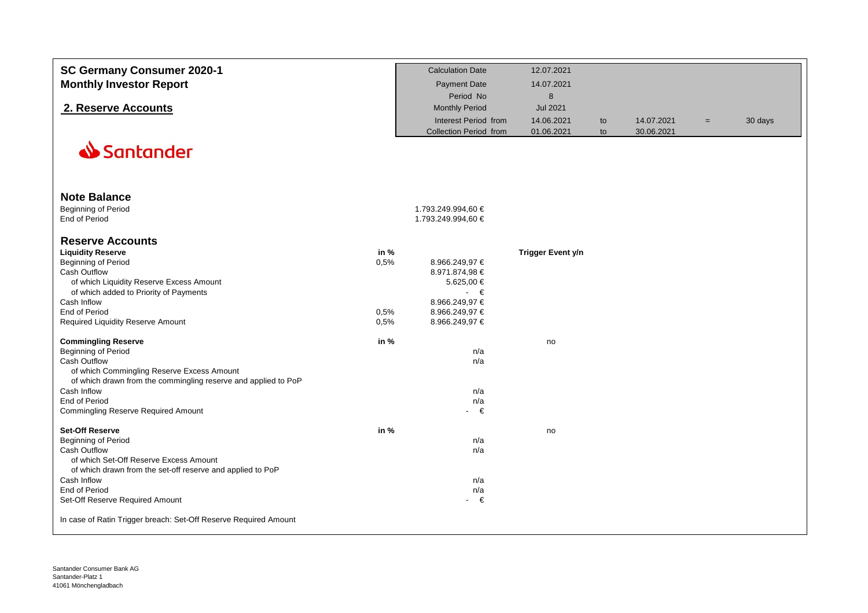| SC Germany Consumer 2020-1<br><b>Monthly Investor Report</b>                                                         |        | <b>Calculation Date</b><br><b>Payment Date</b> | 12.07.2021<br>14.07.2021 |    |            |          |         |
|----------------------------------------------------------------------------------------------------------------------|--------|------------------------------------------------|--------------------------|----|------------|----------|---------|
|                                                                                                                      |        | Period No                                      | $\bf 8$                  |    |            |          |         |
| 2. Reserve Accounts                                                                                                  |        | <b>Monthly Period</b>                          | <b>Jul 2021</b>          |    |            |          |         |
|                                                                                                                      |        | Interest Period from                           | 14.06.2021               | to | 14.07.2021 | $\equiv$ | 30 days |
|                                                                                                                      |        | <b>Collection Period from</b>                  | 01.06.2021               | to | 30.06.2021 |          |         |
| Santander                                                                                                            |        |                                                |                          |    |            |          |         |
| <b>Note Balance</b>                                                                                                  |        |                                                |                          |    |            |          |         |
| Beginning of Period                                                                                                  |        | 1.793.249.994,60 €                             |                          |    |            |          |         |
| End of Period                                                                                                        |        | 1.793.249.994,60 €                             |                          |    |            |          |         |
| <b>Reserve Accounts</b>                                                                                              |        |                                                |                          |    |            |          |         |
| <b>Liquidity Reserve</b>                                                                                             | in $%$ |                                                | <b>Trigger Event y/n</b> |    |            |          |         |
| Beginning of Period                                                                                                  | 0,5%   | 8.966.249,97 €                                 |                          |    |            |          |         |
| <b>Cash Outflow</b><br>of which Liquidity Reserve Excess Amount                                                      |        | 8.971.874,98 €<br>5.625,00 €                   |                          |    |            |          |         |
| of which added to Priority of Payments                                                                               |        | $\cdot \in$                                    |                          |    |            |          |         |
| Cash Inflow                                                                                                          |        | 8.966.249,97 €                                 |                          |    |            |          |         |
| End of Period                                                                                                        | 0,5%   | 8.966.249,97 €                                 |                          |    |            |          |         |
| Required Liquidity Reserve Amount                                                                                    | 0.5%   | 8.966.249,97 €                                 |                          |    |            |          |         |
| <b>Commingling Reserve</b>                                                                                           | in %   |                                                | no                       |    |            |          |         |
| <b>Beginning of Period</b>                                                                                           |        | n/a                                            |                          |    |            |          |         |
| Cash Outflow                                                                                                         |        | n/a                                            |                          |    |            |          |         |
| of which Commingling Reserve Excess Amount<br>of which drawn from the commingling reserve and applied to PoP         |        |                                                |                          |    |            |          |         |
| Cash Inflow                                                                                                          |        | n/a                                            |                          |    |            |          |         |
| <b>End of Period</b>                                                                                                 |        | n/a                                            |                          |    |            |          |         |
| <b>Commingling Reserve Required Amount</b>                                                                           |        | $ \in$                                         |                          |    |            |          |         |
| <b>Set-Off Reserve</b>                                                                                               | in $%$ |                                                | no                       |    |            |          |         |
| Beginning of Period                                                                                                  |        | n/a                                            |                          |    |            |          |         |
| Cash Outflow<br>of which Set-Off Reserve Excess Amount<br>of which drawn from the set-off reserve and applied to PoP |        | n/a                                            |                          |    |            |          |         |
| Cash Inflow                                                                                                          |        | n/a                                            |                          |    |            |          |         |
| End of Period                                                                                                        |        | n/a                                            |                          |    |            |          |         |
| Set-Off Reserve Required Amount                                                                                      |        | €<br>$\sim$                                    |                          |    |            |          |         |
| In case of Ratin Trigger breach: Set-Off Reserve Required Amount                                                     |        |                                                |                          |    |            |          |         |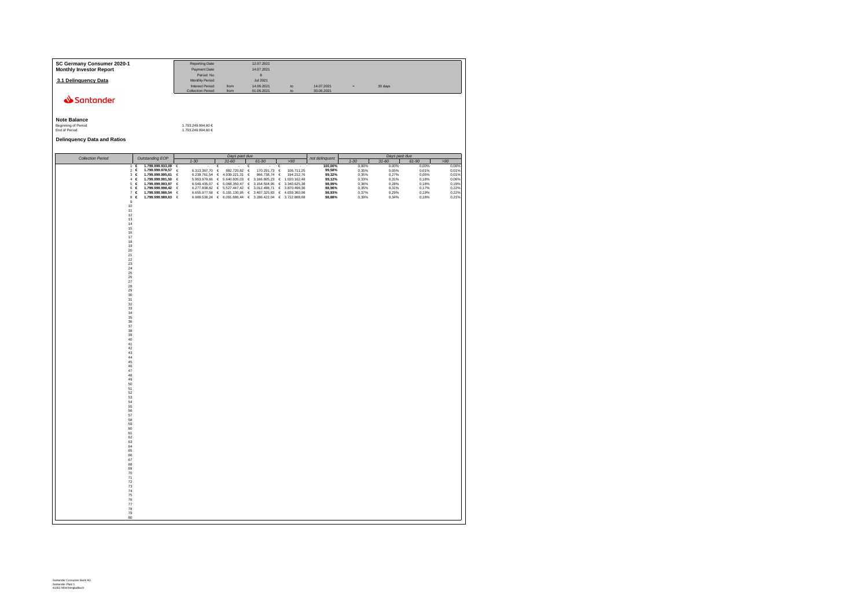| SC Germany Consumer 2020-1<br><b>Monthly Investor Report</b>                                        | Reporting Date<br>Payment Date                                                                                                                      | 12.07.2021<br>14.07.2021                                                                                                                                                                                |                                                                            |                         |                                                       |                         |
|-----------------------------------------------------------------------------------------------------|-----------------------------------------------------------------------------------------------------------------------------------------------------|---------------------------------------------------------------------------------------------------------------------------------------------------------------------------------------------------------|----------------------------------------------------------------------------|-------------------------|-------------------------------------------------------|-------------------------|
| 3.1 Delinquency Data                                                                                | Period No<br>Monthly Period<br><b>Interest Period</b>                                                                                               | $\bf8$<br><b>Jul 2021</b><br>14.06.2021<br>from                                                                                                                                                         | 14.07.2021<br>to                                                           | $\equiv$                | 30 days                                               |                         |
| Santander                                                                                           | <b>Collection Period</b><br>from                                                                                                                    | 01.06.2021                                                                                                                                                                                              | to<br>30.06.2021                                                           |                         |                                                       |                         |
|                                                                                                     |                                                                                                                                                     |                                                                                                                                                                                                         |                                                                            |                         |                                                       |                         |
| <b>Note Balance</b><br>Beginning of Period                                                          | 1.793.249.994,60 €                                                                                                                                  |                                                                                                                                                                                                         |                                                                            |                         |                                                       |                         |
| End of Period<br><b>Delinquency Data and Ratios</b>                                                 | 1.793.249.994,60 €                                                                                                                                  |                                                                                                                                                                                                         |                                                                            |                         |                                                       |                         |
|                                                                                                     |                                                                                                                                                     |                                                                                                                                                                                                         |                                                                            |                         |                                                       |                         |
| <b>Collection Period</b><br>Outstanding EOP<br>1.799.999.933,09<br>€<br>1.                          | $1 - 30$                                                                                                                                            | Days past due<br>$31 - 60$<br>61-90                                                                                                                                                                     | not delinquent<br>>90<br>100,00%                                           | $1 - 30$<br>0,00%       | Days past due<br>$31 - 60$<br>61-90<br>0,00%<br>0,00% | >90<br>0,00%            |
| $2 \in$<br>1.799.999.978,57<br>$3 \in$<br>1.799.999.995,61<br>$4 \in$<br>1.799.999.991,50           | 6.313.367,70<br>$\epsilon$<br>$\epsilon$<br>$\epsilon$<br>6.239.761,54<br>$\epsilon$<br>€<br>5.963.979,66<br>$\epsilon$                             | 882.720,82 €<br>170.291,73<br>$\epsilon$<br>4.939.221,31<br>$\epsilon$<br>866.738,74<br>$\epsilon$<br>5.640.605,03 €<br>3.166.805,23<br>$\epsilon$                                                      | 106.711,25<br>99,58%<br>194.212,76<br>99,32%<br>1.020.162,48<br>99,12%     | 0,35%<br>0,35%<br>0,33% | 0,05%<br>0,01%<br>0,27%<br>0,05%<br>0,31%<br>0,18%    | 0,01%<br>0,01%<br>0,06% |
| 1,799,999,993,97<br>5 <sup>6</sup><br>1,799,999,998,42<br>6 €<br>1.799.999.986,54<br>7 <sup>6</sup> | $\epsilon$<br>€<br>6,549,435.07<br>6,277,838,82<br>€<br>€<br>$\epsilon$<br>$\begin{array}{ll} 6.655.977,58 & \in \\ 6.989.530,24 & \in \end{array}$ | 5.068.350.47<br>€<br>3.154.504,95<br>€<br>3.012.488,71 $\in$<br>5.527.447.42 €<br>$\begin{array}{lllll} 5.191.130.95 & \in & 3.407.325.83 & \in \\ 6.091.686.44 & \in & 3.286.422.04 & \in \end{array}$ | 98.99%<br>3.340.625.38<br>3.870.498.36<br>98.96%<br>98,93%<br>4.039.360.98 | 0.36%<br>0,35%<br>0.37% | 0.28%<br>0.18%<br>0.31%<br>0.17%<br>0.29%<br>0.19%    | 0,19%<br>0.22%<br>0.22% |
| 1.799.999.989,63<br>$8 \in$<br>$\mathsf g$<br>10                                                    | $\bar{\epsilon}$                                                                                                                                    |                                                                                                                                                                                                         | 3.722.868,68<br>98,88%                                                     | 0,39%                   | 0,34%<br>0,18%                                        | 0,21%                   |
| $11\,$<br>$12\,$<br>$\frac{13}{14}$                                                                 |                                                                                                                                                     |                                                                                                                                                                                                         |                                                                            |                         |                                                       |                         |
| 15<br>16                                                                                            |                                                                                                                                                     |                                                                                                                                                                                                         |                                                                            |                         |                                                       |                         |
| 17<br>18                                                                                            |                                                                                                                                                     |                                                                                                                                                                                                         |                                                                            |                         |                                                       |                         |
| $\frac{19}{20}$<br>$\frac{21}{22}$                                                                  |                                                                                                                                                     |                                                                                                                                                                                                         |                                                                            |                         |                                                       |                         |
| 23<br>$^{24}$<br>25                                                                                 |                                                                                                                                                     |                                                                                                                                                                                                         |                                                                            |                         |                                                       |                         |
| ${\bf 26}$<br>$\frac{27}{28}$                                                                       |                                                                                                                                                     |                                                                                                                                                                                                         |                                                                            |                         |                                                       |                         |
| $^{29}$<br>$30\,$<br>31                                                                             |                                                                                                                                                     |                                                                                                                                                                                                         |                                                                            |                         |                                                       |                         |
| 32<br>33<br>$\frac{34}{35}$                                                                         |                                                                                                                                                     |                                                                                                                                                                                                         |                                                                            |                         |                                                       |                         |
| $\frac{36}{37}$<br>38                                                                               |                                                                                                                                                     |                                                                                                                                                                                                         |                                                                            |                         |                                                       |                         |
| 39<br>40<br>$\bf 41$                                                                                |                                                                                                                                                     |                                                                                                                                                                                                         |                                                                            |                         |                                                       |                         |
| $\begin{array}{c} 42 \\ 43 \end{array}$<br>44                                                       |                                                                                                                                                     |                                                                                                                                                                                                         |                                                                            |                         |                                                       |                         |
| 45<br>46<br>$47\,$                                                                                  |                                                                                                                                                     |                                                                                                                                                                                                         |                                                                            |                         |                                                       |                         |
| 48<br>49                                                                                            |                                                                                                                                                     |                                                                                                                                                                                                         |                                                                            |                         |                                                       |                         |
| $\frac{50}{51}$<br>52                                                                               |                                                                                                                                                     |                                                                                                                                                                                                         |                                                                            |                         |                                                       |                         |
| 53<br>54<br>55<br>56                                                                                |                                                                                                                                                     |                                                                                                                                                                                                         |                                                                            |                         |                                                       |                         |
| 57<br>58<br>59                                                                                      |                                                                                                                                                     |                                                                                                                                                                                                         |                                                                            |                         |                                                       |                         |
| 60<br>61<br>62                                                                                      |                                                                                                                                                     |                                                                                                                                                                                                         |                                                                            |                         |                                                       |                         |
| 63<br>64                                                                                            |                                                                                                                                                     |                                                                                                                                                                                                         |                                                                            |                         |                                                       |                         |
| 65<br>66<br>67<br>68                                                                                |                                                                                                                                                     |                                                                                                                                                                                                         |                                                                            |                         |                                                       |                         |
| 69<br>70                                                                                            |                                                                                                                                                     |                                                                                                                                                                                                         |                                                                            |                         |                                                       |                         |
| 71<br>72<br>73<br>74<br>75                                                                          |                                                                                                                                                     |                                                                                                                                                                                                         |                                                                            |                         |                                                       |                         |
| 76<br>77                                                                                            |                                                                                                                                                     |                                                                                                                                                                                                         |                                                                            |                         |                                                       |                         |
| 78<br>79<br>80                                                                                      |                                                                                                                                                     |                                                                                                                                                                                                         |                                                                            |                         |                                                       |                         |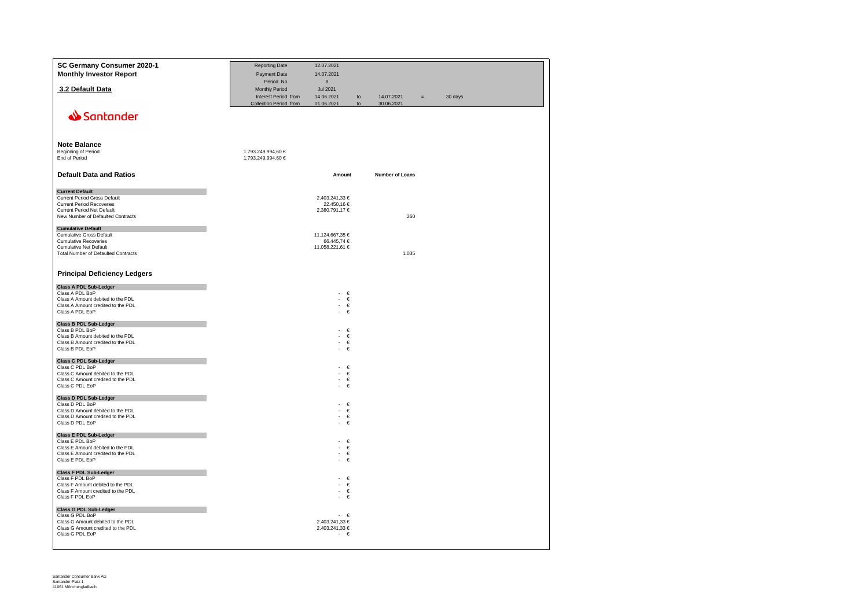| SC Germany Consumer 2020-1<br><b>Monthly Investor Report</b>                                                                                                                | <b>Reporting Date</b><br>Payment Date<br>Period No               | 12.07.2021<br>14.07.2021<br>8                                  |          |                          |         |
|-----------------------------------------------------------------------------------------------------------------------------------------------------------------------------|------------------------------------------------------------------|----------------------------------------------------------------|----------|--------------------------|---------|
| 3.2 Default Data                                                                                                                                                            | Monthly Period<br>Interest Period from<br>Collection Period from | <b>Jul 2021</b><br>14.06.2021<br>01.06.2021                    | to<br>to | 14.07.2021<br>30.06.2021 | 30 days |
| Santander                                                                                                                                                                   |                                                                  |                                                                |          |                          |         |
| <b>Note Balance</b><br>Beginning of Period<br>End of Period                                                                                                                 | 1.793.249.994,60 €<br>1.793.249.994,60 €                         |                                                                |          |                          |         |
| <b>Default Data and Ratios</b>                                                                                                                                              |                                                                  | Amount                                                         |          | Number of Loans          |         |
| <b>Current Default</b><br>Current Period Gross Default<br><b>Current Period Recoveries</b><br>Current Period Net Default<br>New Number of Defaulted Contracts               |                                                                  | 2.403.241,33 €<br>22.450,16 €<br>2.380.791,17 €                |          | 260                      |         |
| <b>Cumulative Default</b><br><b>Cumulative Gross Default</b><br><b>Cumulative Recoveries</b><br><b>Cumulative Net Default</b><br><b>Total Number of Defaulted Contracts</b> |                                                                  | 11.124.667,35 €<br>66.445,74 €<br>11.058.221,61 €              |          | 1.035                    |         |
| <b>Principal Deficiency Ledgers</b>                                                                                                                                         |                                                                  |                                                                |          |                          |         |
| <b>Class A PDL Sub-Ledger</b><br>Class A PDL BoP<br>Class A Amount debited to the PDL<br>Class A Amount credited to the PDL<br>Class A PDL EoP                              |                                                                  | €<br>÷,<br>×,<br>€<br>$\mathbf{r}$<br>€<br>$\omega$<br>€       |          |                          |         |
| <b>Class B PDL Sub-Ledger</b><br>Class B PDL BoP                                                                                                                            |                                                                  | €<br>$\overline{\phantom{a}}$                                  |          |                          |         |
| Class B Amount debited to the PDL<br>Class B Amount credited to the PDL<br>Class B PDL EoP                                                                                  |                                                                  | €<br>€<br>€                                                    |          |                          |         |
| <b>Class C PDL Sub-Ledger</b><br>Class C PDL BoP<br>Class C Amount debited to the PDL<br>Class C Amount credited to the PDL<br>Class C PDL EoP                              |                                                                  | €<br>÷.<br>€<br>€<br>$\overline{a}$<br>€<br>×.                 |          |                          |         |
| <b>Class D PDL Sub-Ledger</b><br>Class D PDL BoP                                                                                                                            |                                                                  | €<br>$\sim$                                                    |          |                          |         |
| Class D Amount debited to the PDL<br>Class D Amount credited to the PDL<br>Class D PDL EoP                                                                                  |                                                                  | $\sim$<br>€<br>$\mathbb{Z}^2$<br>€<br>$\mathbb{Z}^+$<br>€      |          |                          |         |
| <b>Class E PDL Sub-Ledger</b><br>Class E PDL BoP<br>Class E Amount debited to the PDL<br>Class E Amount credited to the PDL<br>Class E PDL EoP                              |                                                                  | €<br>÷.<br>€<br>÷,<br>$\sim$<br>€<br>€<br>$\sim$               |          |                          |         |
| <b>Class F PDL Sub-Ledger</b><br>Class F PDL BoP<br>Class F Amount debited to the PDL<br>Class F Amount credited to the PDL<br>Class F PDL EoP                              |                                                                  | €<br>÷.<br>$\in$<br>×.<br>€<br>€<br>$\overline{a}$             |          |                          |         |
| <b>Class G PDL Sub-Ledger</b><br>Class G PDL BoP<br>Class G Amount debited to the PDL<br>Class G Amount credited to the PDL<br>Class G PDL EoP                              |                                                                  | $\cdot \in$<br>2.403.241,33 €<br>2.403.241,33 €<br>$\cdot \in$ |          |                          |         |

Santander Consumer Bank AG Santander-Platz 1 41061 Mönchengladbach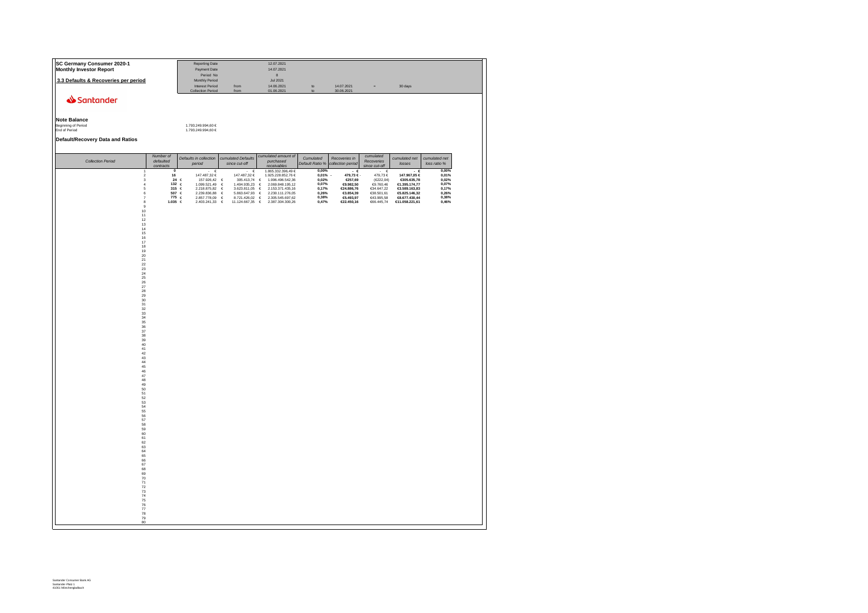| SC Germany Consumer 2020-1<br><b>Monthly Investor Report</b>                                                                                                                                                                                                                                                                                                                                                                                                                                                                                  |                                                                                                    | <b>Reporting Date</b><br>Payment Date<br>Period No                                                                                                     |                                                                                                                                                                                          | 12.07.2021<br>14.07.2021<br>8                                                                                                                                                                                                           |                                                                      |                                                                                                 |                                                                                                                    |                                                                                                                          |                                                                            |  |
|-----------------------------------------------------------------------------------------------------------------------------------------------------------------------------------------------------------------------------------------------------------------------------------------------------------------------------------------------------------------------------------------------------------------------------------------------------------------------------------------------------------------------------------------------|----------------------------------------------------------------------------------------------------|--------------------------------------------------------------------------------------------------------------------------------------------------------|------------------------------------------------------------------------------------------------------------------------------------------------------------------------------------------|-----------------------------------------------------------------------------------------------------------------------------------------------------------------------------------------------------------------------------------------|----------------------------------------------------------------------|-------------------------------------------------------------------------------------------------|--------------------------------------------------------------------------------------------------------------------|--------------------------------------------------------------------------------------------------------------------------|----------------------------------------------------------------------------|--|
| 3.3 Defaults & Recoveries per period                                                                                                                                                                                                                                                                                                                                                                                                                                                                                                          |                                                                                                    | Monthly Period<br><b>Interest Period</b>                                                                                                               | from                                                                                                                                                                                     | <b>Jul 2021</b><br>14.06.2021                                                                                                                                                                                                           | to                                                                   | 14.07.2021                                                                                      | $=$                                                                                                                | 30 days                                                                                                                  |                                                                            |  |
| Santander<br><b>Note Balance</b><br>Beginning of Period<br>End of Period<br>Default/Recovery Data and Ratios                                                                                                                                                                                                                                                                                                                                                                                                                                  |                                                                                                    | <b>Collection Period</b><br>1.793.249.994,60 €<br>1.793.249.994,60 €                                                                                   | from                                                                                                                                                                                     | 01.06.2021                                                                                                                                                                                                                              | $\overline{10}$                                                      | 30.06.2021                                                                                      |                                                                                                                    |                                                                                                                          |                                                                            |  |
| <b>Collection Period</b>                                                                                                                                                                                                                                                                                                                                                                                                                                                                                                                      | Number of<br>defaulted                                                                             | Defaults in collection<br>period                                                                                                                       | cumulated Defaults<br>since cut-off                                                                                                                                                      | cumulated amount of<br>purchased                                                                                                                                                                                                        | Cumulated<br>Default Ratio %                                         | Recoveries in<br>collection period                                                              | cumulated<br>Recoveries                                                                                            | cumulated net<br>losses                                                                                                  | cumulated net<br>loss ratio %                                              |  |
| $\mathfrak{p}$<br>3<br>$\overline{4}$<br>5<br>6<br>$\overline{7}$<br>$\begin{smallmatrix}8\\9\end{smallmatrix}$<br>$\frac{10}{11}$<br>$\begin{array}{c} 12 \\ 13 \\ 14 \\ 15 \end{array}$<br>16<br>$\frac{17}{18}$<br>$\frac{19}{20}$<br>$\frac{21}{22}$<br>23<br>24<br>25<br>26<br>27<br>28<br>29 30 31 32 33 34 35 36 37 38 39 40 41<br>$\begin{array}{c} 42 \\ 43 \\ 44 \\ 45 \\ 46 \\ 47 \end{array}$<br>48 49 50 51 52 53 54 55 56 57 58 59<br>60<br>61<br>62<br>63<br>64<br>65<br>66<br>67<br>68<br>69 70 71 72 73 74 75 76 77 78<br>79 | contracts<br>$\overline{0}$<br>16<br>$\bf 24$<br>132 $\in$<br>315<br>507 €<br>$775 \in$<br>1.035 ∈ | $\epsilon$<br>147.487,32 €<br>$\epsilon$<br>157.926,42<br>1.099.521,49<br>$\epsilon$<br>2.218.875,82<br>2.239.836,88<br>2.857.778,09<br>2.403.241,33 € | €<br>147.487.32 €<br>$\epsilon$<br>305.413,74<br>1.404.935,23<br>$\epsilon$<br>$\epsilon$<br>3.623.811,05<br>$\epsilon$<br>5.863.647,93<br>$\epsilon$<br>8.721.426,02<br>11.124.667,35 € | receivables<br>1.865.332.396.49 €<br>1.925.228.852,76 €<br>$\epsilon$<br>1.996.496.542,36<br>$\epsilon$<br>2.069.848.195,12<br>$\in$<br>2.153.371.435,16<br>$\epsilon$<br>2.230.111.276,05<br>€<br>2.305.545.697.62<br>2.387.304.300,26 | 0.00%<br>0,01%<br>0,02%<br>0,07%<br>0,17%<br>0,26%<br>0,38%<br>0,47% | $-$ 6<br>479.73 €<br>€257,69<br>€9.982,50<br>€24.886,76<br>€3.854,39<br>€5.493,97<br>€22.450,16 | since cut-off<br>. е<br>479.73 €<br>(E222,04)<br>€9.760,46<br>€34.647,22<br>€38.501,61<br>€43.995,58<br>€66.445,74 | - 6<br>147.967,05 €<br>€305.635,78<br>€1.395.174,77<br>€3.589.163,83<br>€5.825.146,32<br>€8.677.430,44<br>€11.058.221,61 | $0,00\%$<br>$0,01\%$<br>0,02%<br>0,07%<br>0,17%<br>0,26%<br>0,38%<br>0,46% |  |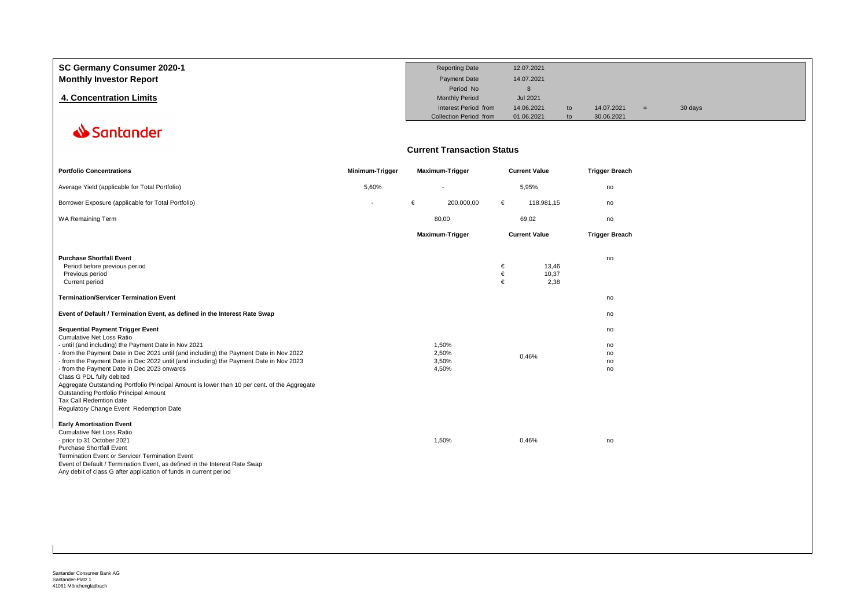| SC Germany Consumer 2020-1     | <b>Reporting Date</b>         | 12.07.2021      |    |            |         |  |
|--------------------------------|-------------------------------|-----------------|----|------------|---------|--|
| <b>Monthly Investor Report</b> | <b>Payment Date</b>           | 14.07.2021      |    |            |         |  |
|                                | Period No                     |                 |    |            |         |  |
| 4. Concentration Limits        | <b>Monthly Period</b>         | <b>Jul 2021</b> |    |            |         |  |
|                                | Interest Period from          | 14.06.2021      | to | 14.07.2021 | 30 days |  |
|                                | <b>Collection Period from</b> | 01.06.2021      |    | 30.06.2021 |         |  |

### **Current Transaction Status**

| <b>Portfolio Concentrations</b>                                                                                                                                                                                                                                                                                                                                                                                                                                                                                                                                                                              | Minimum-Trigger |   | <b>Maximum-Trigger</b>           |             | <b>Current Value</b>   | <b>Trigger Breach</b>      |
|--------------------------------------------------------------------------------------------------------------------------------------------------------------------------------------------------------------------------------------------------------------------------------------------------------------------------------------------------------------------------------------------------------------------------------------------------------------------------------------------------------------------------------------------------------------------------------------------------------------|-----------------|---|----------------------------------|-------------|------------------------|----------------------------|
| Average Yield (applicable for Total Portfolio)                                                                                                                                                                                                                                                                                                                                                                                                                                                                                                                                                               | 5,60%           |   | ٠                                |             | 5,95%                  | no                         |
| Borrower Exposure (applicable for Total Portfolio)                                                                                                                                                                                                                                                                                                                                                                                                                                                                                                                                                           |                 | € | 200.000,00                       | €           | 118.981.15             | no                         |
| <b>WA Remaining Term</b>                                                                                                                                                                                                                                                                                                                                                                                                                                                                                                                                                                                     |                 |   | 80,00                            |             | 69,02                  | no                         |
|                                                                                                                                                                                                                                                                                                                                                                                                                                                                                                                                                                                                              |                 |   | <b>Maximum-Trigger</b>           |             | <b>Current Value</b>   | <b>Trigger Breach</b>      |
| <b>Purchase Shortfall Event</b><br>Period before previous period<br>Previous period<br>Current period                                                                                                                                                                                                                                                                                                                                                                                                                                                                                                        |                 |   |                                  | €<br>€<br>€ | 13.46<br>10,37<br>2,38 | no                         |
| <b>Termination/Servicer Termination Event</b>                                                                                                                                                                                                                                                                                                                                                                                                                                                                                                                                                                |                 |   |                                  |             |                        | no                         |
| Event of Default / Termination Event, as defined in the Interest Rate Swap                                                                                                                                                                                                                                                                                                                                                                                                                                                                                                                                   |                 |   |                                  |             |                        | no                         |
| <b>Sequential Payment Trigger Event</b><br>Cumulative Net Loss Ratio<br>- until (and including) the Payment Date in Nov 2021<br>- from the Payment Date in Dec 2021 until (and including) the Payment Date in Nov 2022<br>- from the Payment Date in Dec 2022 until (and including) the Payment Date in Nov 2023<br>- from the Payment Date in Dec 2023 onwards<br>Class G PDL fully debited<br>Aggregate Outstanding Portfolio Principal Amount is lower than 10 per cent. of the Aggregate<br>Outstanding Portfolio Principal Amount<br>Tax Call Redemtion date<br>Regulatory Change Event Redemption Date |                 |   | 1,50%<br>2,50%<br>3,50%<br>4,50% |             | 0,46%                  | no<br>no<br>no<br>no<br>no |
| <b>Early Amortisation Event</b><br><b>Cumulative Net Loss Ratio</b><br>- prior to 31 October 2021<br><b>Purchase Shortfall Event</b><br>Termination Event or Servicer Termination Event<br>Event of Default / Termination Event, as defined in the Interest Rate Swap<br>Any debit of class G after application of funds in current period                                                                                                                                                                                                                                                                   |                 |   | 1,50%                            |             | 0,46%                  | no                         |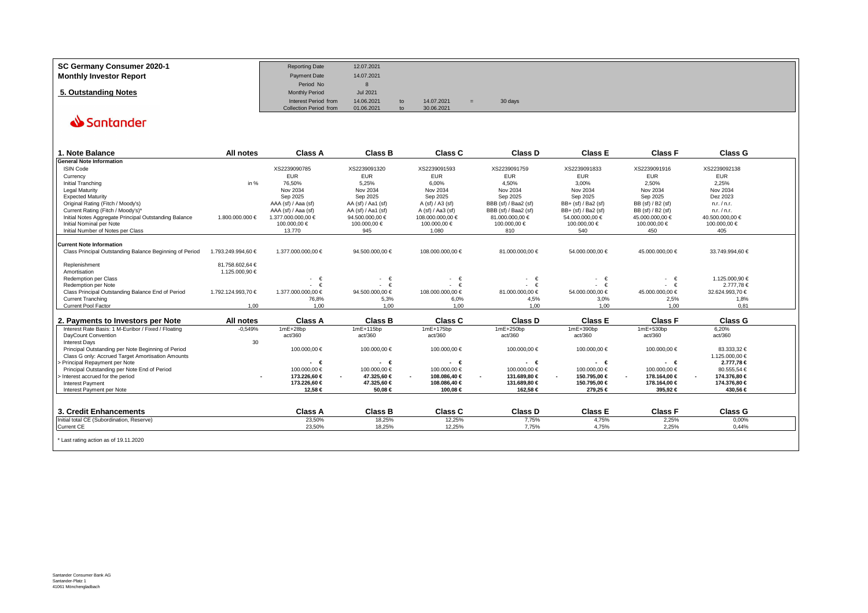| SC Germany Consumer 2020-1     | <b>Reporting Date</b>         | 12.07.2021 |                |            |         |  |
|--------------------------------|-------------------------------|------------|----------------|------------|---------|--|
| <b>Monthly Investor Report</b> | Payment Date                  | 14.07.2021 |                |            |         |  |
|                                | Period No                     |            |                |            |         |  |
| 5. Outstanding Notes           | <b>Monthly Period</b>         | Jul 2021   |                |            |         |  |
|                                | Interest Period from          | 14.06.2021 | to             | 14.07.2021 | 30 days |  |
|                                | <b>Collection Period from</b> | 01.06.2021 | t <sub>0</sub> | 30.06.2021 |         |  |

| 1. Note Balance                                         | All notes          | <b>Class A</b>      | <b>Class B</b>     | Class C            | Class D              | <b>Class E</b>      | <b>Class F</b>         | <b>Class G</b>  |  |
|---------------------------------------------------------|--------------------|---------------------|--------------------|--------------------|----------------------|---------------------|------------------------|-----------------|--|
| <b>General Note Information</b>                         |                    |                     |                    |                    |                      |                     |                        |                 |  |
| <b>ISIN Code</b>                                        |                    | XS2239090785        | XS2239091320       | XS2239091593       | XS2239091759         | XS2239091833        | XS2239091916           | XS2239092138    |  |
| Currency                                                |                    | <b>EUR</b>          | <b>EUR</b>         | <b>EUR</b>         | <b>EUR</b>           | <b>EUR</b>          | <b>EUR</b>             | <b>EUR</b>      |  |
| Initial Tranching                                       | in $%$             | 76.50%              | 5.25%              | 6,00%              | 4.50%                | 3.00%               | 2.50%                  | 2,25%           |  |
| <b>Legal Maturity</b>                                   |                    | Nov 2034            | Nov 2034           | Nov 2034           | Nov 2034             | Nov 2034            | Nov 2034               | Nov 2034        |  |
| <b>Expected Maturity</b>                                |                    | Sep 2025            | Sep 2025           | Sep 2025           | Sep 2025             | Sep 2025            | Sep 2025               | Dez 2023        |  |
| Original Rating (Fitch / Moody's)                       |                    | AAA (sf) / Aaa (sf) | AA (sf) / Aa1 (sf) | A (sf) / A3 (sf)   | BBB (sf) / Baa2 (sf) | BB+ (sf) / Ba2 (sf) | BB (sf) / B2 (sf)      | n.r. / n.r.     |  |
| Current Rating (Fitch / Moody's)*                       |                    | AAA (sf) / Aaa (sf) | AA (sf) / Aa1 (sf) | A (sf) / Aa3 (sf)  | BBB (sf) / Baa2 (sf) | BB+ (sf) / Ba2 (sf) | BB (sf) / B2 (sf)      | n.r. / n.r.     |  |
| Initial Notes Aggregate Principal Outstanding Balance   | 1.800.000.000 €    | 1.377.000.000.00 €  | 94.500.000.00 €    | 108.000.00000 €    | 81.000.000,00 €      | 54.000.000,00 €     | 45.000.000.00 €        | 40500.000.00 €  |  |
| Initial Nominal per Note                                |                    | 100.000,00 €        | 100.000,00 €       | 100.000,00 €       | 100.000,00 €         | 100000,00 €         | 100.000,00 €           | 100.000,00 €    |  |
| Initial Number of Notes per Class                       |                    | 13,770              | 945                | 1.080              | 810                  | 540                 | 450                    | 405             |  |
| <b>Current Note Information</b>                         |                    |                     |                    |                    |                      |                     |                        |                 |  |
| Class Principal Outstanding Balance Beginning of Period | 1.793.249.994.60 € | 1.377.000.000.00 €  | 94.500.000,00 €    | 108.000.000,00 €   | 81.000.000,00 €      | 54.000.000,00 €     | 45.000.000.00 €        | 33.749.994.60 € |  |
| Replenishment                                           | 81.758.602,64 €    |                     |                    |                    |                      |                     |                        |                 |  |
| Amortisation                                            | 1.125.000,90 €     |                     |                    |                    |                      |                     |                        |                 |  |
| <b>Redemption per Class</b>                             |                    | $ \epsilon$         | $ \in$             | $\cdot \in$        | €                    | $\cdot \in$         | $ \in$                 | 1.125.000.90 €  |  |
| Redemption per Note                                     |                    | - €                 | $\cdot \in$        | $\cdot \in$        | $\cdot \cdot \in$    | $\cdot \in$         | $\cdot \in$            | 2.777,78€       |  |
| Class Principal Outstanding Balance End of Period       | 1.792.124.993,70 € | 1.377.000.000,00 €  | 94.500.000,00 €    | 108.000.000,00 €   | 81.000.000,00 €      | 54.000.000,00 €     | 45.000.000,00 €        | 32.624.993,70 € |  |
| <b>Current Tranching</b>                                |                    | 76,8%               | 5,3%               | 6,0%               | 4,5%                 | 3,0%                | 2,5%                   | 1,8%            |  |
| Current Pool Factor                                     | 1.00               | 1.00                | 1.00               | 1.00               | 1.00                 | 1.00                | 1.00                   | 0.81            |  |
| 2. Payments to Investors per Note                       | All notes          | <b>Class A</b>      | <b>Class B</b>     | <b>Class C</b>     | <b>Class D</b>       | <b>Class E</b>      | <b>Class F</b>         | <b>Class G</b>  |  |
| Interest Rate Basis: 1 M-Euribor / Fixed / Floating     | $-0.549%$          | $1mE+28bp$          | 1mE+115bp          | 1mE+175bp          | 1mE+250bp            | 1mE+390bp           | 1mE+530bp              | 6,20%           |  |
| DayCount Convention                                     |                    | act/360             | act/360            | act/360            | act/360              | act/360             | act/360                | act/360         |  |
| <b>Interest Days</b>                                    | 30                 |                     |                    |                    |                      |                     |                        |                 |  |
| Principal Outstanding per Note Beginning of Period      |                    | 100.000,00 €        | 100.000,00 €       | 100.000,00 €       | 100.000,00 €         | 100.000,00 €        | 100.000,00 €           | 83.333,32 €     |  |
| Class G only: Accrued Target Amortisation Amounts       |                    |                     |                    |                    |                      |                     |                        | 1.125.000.00 €  |  |
| Principal Repayment per Note                            |                    | $\cdot$ $\epsilon$  | $\cdot$ $\epsilon$ | $\cdot$ $\epsilon$ | $\cdot$ $\epsilon$   | $\cdot \cdot \in$   | $\cdot$ $\epsilon$     | 2.777,78 €      |  |
| Principal Outstanding per Note End of Period            |                    | 100.000,00 €        | 100.000.00 €       | 100.000,00 €       | 100.000,00 €         | 100.000.00 €        | 100.000,00 €           | 80.555,54 €     |  |
| > Interest accrued for the period                       |                    | 173.226,60 €        | 47.325,60 €        | 108.086,40 €       | 131.689,80 €         | 150.795.00 €        | 178.164,00 €<br>$\sim$ | 174.376,80 €    |  |
| <b>Interest Payment</b>                                 |                    | 173.226,60 €        | 47.325,60 €        | 108.086,40 €       | 131.689,80 €         | 150.795,00 €        | 178.164,00 €           | 174.376,80 €    |  |
| Interest Payment per Note                               |                    | 12,58 €             | 50.08 €            | 100,08 €           | 162,58 €             | 279,25 €            | 395,92 €               | 430,56 €        |  |
|                                                         |                    |                     |                    |                    |                      |                     |                        |                 |  |
| 3. Credit Enhancements                                  |                    | <b>Class A</b>      | <b>Class B</b>     | <b>Class C</b>     | <b>Class D</b>       | <b>Class E</b>      | <b>Class F</b>         | <b>Class G</b>  |  |
| Initial total CE (Subordination, Reserve)               |                    | 23,50%              | 18,25%             | 12,25%             | 7,75%                | 4,75%               | 2,25%                  | 0,00%           |  |
| Current CE                                              |                    | 23,50%              | 18,25%             | 12,25%             | 7,75%                | 4.75%               | 2.25%                  | 0.44%           |  |
| * Last rating action as of 19.11.2020                   |                    |                     |                    |                    |                      |                     |                        |                 |  |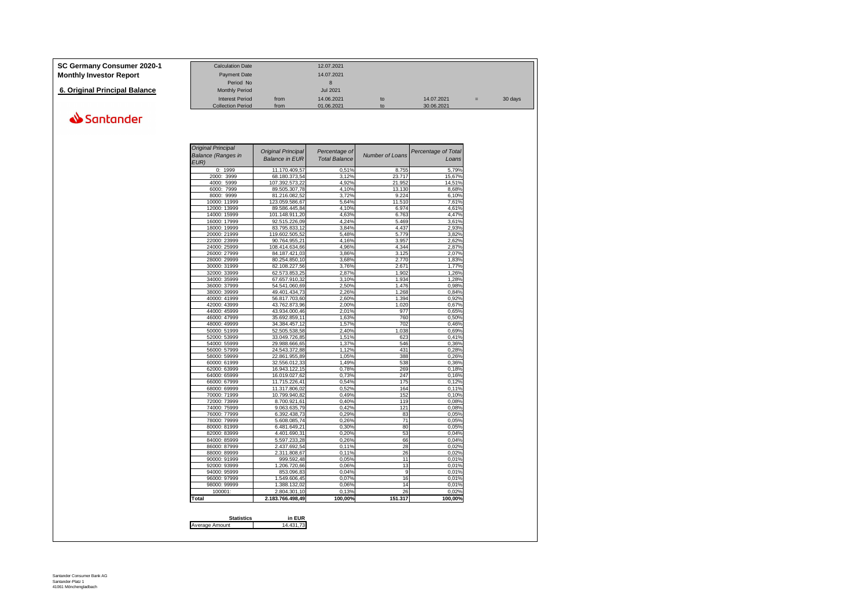| SC Germany Consumer 2020-1     | <b>Calculation Date</b>  |      | 12.07.2021      |    |            |     |         |
|--------------------------------|--------------------------|------|-----------------|----|------------|-----|---------|
| <b>Monthly Investor Report</b> | Payment Date             |      | 14.07.2021      |    |            |     |         |
|                                | Period No                |      |                 |    |            |     |         |
| 6. Original Principal Balance  | <b>Monthly Period</b>    |      | <b>Jul 2021</b> |    |            |     |         |
|                                | <b>Interest Period</b>   | from | 14.06.2021      | to | 14.07.2021 | $=$ | 30 days |
|                                | <b>Collection Period</b> | from | 01.06.2021      | to | 30.06.2021 |     |         |

| <b>Original Principal</b><br>Percentage of<br><b>Balance in EUR</b><br><b>Total Balance</b> | <b>Number of Loans</b>       | Percentage of Total<br>Loans |
|---------------------------------------------------------------------------------------------|------------------------------|------------------------------|
| 11.170.409.57                                                                               | 0.51%<br>8.755               | 5.79%                        |
| 68.180.373,54                                                                               | 3,12%<br>23.717              | 15,67%                       |
| 107.392.573,22                                                                              | 4,92%<br>21.952              | 14,51%                       |
| 89.505.307,78                                                                               | 4.10%<br>13.130              | 8,68%                        |
| 81.216.082,52                                                                               | 3.72%<br>9.224               | 6,10%                        |
| 123.059.586,67                                                                              | 5,64%<br>11.510              | 7,61%                        |
| 89.586.445,84                                                                               | 4,10%<br>6.974               | 4,61%                        |
| 101.148.911,20                                                                              | 6.763<br>4,63%               | 4,47%                        |
| 92.515.226,09                                                                               | 4,24%<br>5.469               | 3,61%                        |
| 83.795.833,12                                                                               | 4.437<br>3.84%               | 2,93%                        |
| 119.602.505,52                                                                              | 5,48%<br>5.779               | 3,82%                        |
| 90.764.955,21                                                                               | 4.16%<br>3.957               | 2,62%                        |
| 108.414.634,66                                                                              | 4.96%<br>4.344               | 2,87%                        |
| 84.187.421,03                                                                               | 3.125<br>3,86%               | 2,07%                        |
| 80.254.850,10                                                                               | 3.68%<br>2.770               | 1,83%                        |
| 82.108.227,56                                                                               | 3,76%<br>2.671               | 1,77%                        |
| 62.573.853,25                                                                               | 2,87%<br>1.902               | 1,26%                        |
| 67.657.910,32                                                                               | 3.10%<br>1.934               | 1,28%                        |
| 54.541.060,69                                                                               | 2,50%<br>1.476               | 0.98%                        |
| 49.401.434,73                                                                               | 2,26%<br>1.268               | 0,84%                        |
| 56.817.703,60                                                                               | 2,60%<br>1.394               | 0,92%                        |
| 43.762.873,96                                                                               | 2,00%<br>1.020               | 0,67%                        |
| 43.934.000,46                                                                               | 2,01%<br>977                 | 0,65%                        |
| 35.692.859,11                                                                               | 1.63%<br>760                 | 0,50%                        |
| 34.384.457,12                                                                               | 1,57%<br>702                 | 0,46%                        |
| 52.505.538,58                                                                               | 2.40%<br>1.038               | 0,69%                        |
| 33.049.726,85                                                                               | 1.51%<br>623                 | 0.41%                        |
| 29.988.666,65                                                                               | 1.37%<br>546                 | 0,36%                        |
| 24.543.372,88                                                                               | 1.12%<br>431                 | 0,28%                        |
| 22.861.955,89                                                                               | 1,05%<br>388                 | 0,26%                        |
| 32.556.012,33                                                                               | 1.49%<br>538                 | 0,36%                        |
| 16.943.122,15                                                                               | 0.78%<br>269<br>0.73%<br>247 | 0,18%<br>0.16%               |
| 16.019.027,62                                                                               |                              |                              |
| 11.715.226,41                                                                               | 175<br>0,54%<br>0,52%<br>164 | 0,12%                        |
| 11.317.806,02<br>10.799.940,82                                                              | 0,49%<br>152                 | 0,11%<br>0,10%               |
| 8.700.921,61                                                                                | 0,40%<br>119                 | 0,08%                        |
| 9.063.635,79                                                                                | 0.42%<br>121                 | 0.08%                        |
| 6.392.438,73                                                                                | 0,29%<br>83                  | 0,05%                        |
| 5.608.085,74                                                                                | $\overline{71}$<br>0,26%     | 0,05%                        |
| 6.481.649,21                                                                                | 80<br>0.30%                  | 0,05%                        |
| 4.401.690,31                                                                                | 0,20%<br>53                  | 0,04%                        |
| 5.597.233,28                                                                                | 66<br>0.26%                  | 0.04%                        |
| 2.437.692,54                                                                                | 0,11%<br>28                  | 0,02%                        |
| 2.311.808,67                                                                                | 0.11%<br>26                  | 0,02%                        |
| 999.592,48                                                                                  | 0,05%<br>11                  | 0,01%                        |
| 1.206.720,66                                                                                | 13<br>0.06%                  | 0.01%                        |
| 853.096,83                                                                                  | 9<br>0,04%                   | 0,01%                        |
| 1.549.606,45                                                                                | 0,07%<br>16                  | 0,01%                        |
| 1.388.132,02                                                                                | 0,06%<br>14                  | 0,01%                        |
| 2.804.301,10                                                                                | 26<br>0,13%                  | 0,02%                        |
| 2.183.766.498,49                                                                            | 100.00%<br>151.317           | 100,00%                      |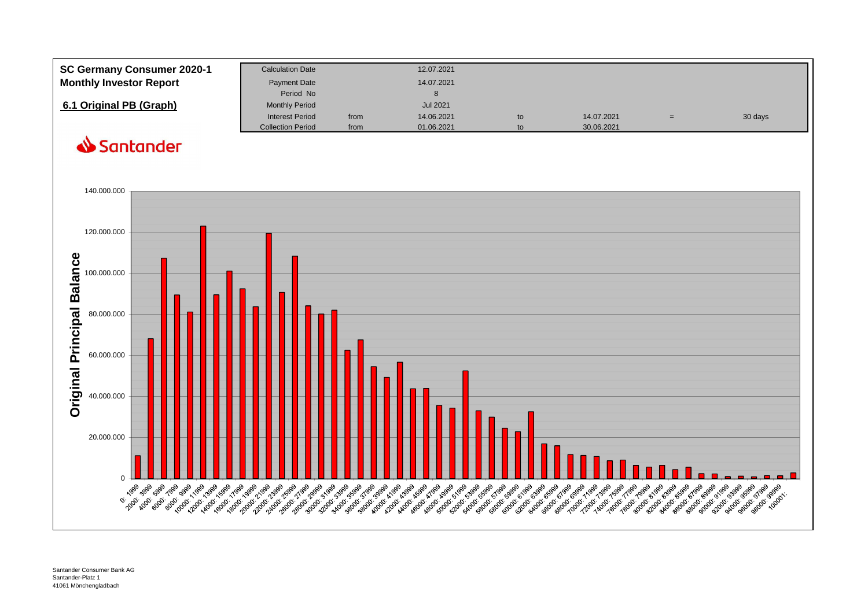| SC Germany Consumer 2020-1     | <b>Calculation Date</b>  |      | 12.07.2021      |    |            |     |         |
|--------------------------------|--------------------------|------|-----------------|----|------------|-----|---------|
| <b>Monthly Investor Report</b> | <b>Payment Date</b>      |      | 14.07.2021      |    |            |     |         |
|                                | Period No                |      |                 |    |            |     |         |
| 6.1 Original PB (Graph)        | <b>Monthly Period</b>    |      | <b>Jul 2021</b> |    |            |     |         |
|                                | <b>Interest Period</b>   | from | 14.06.2021      | to | 14.07.2021 | $=$ | 30 days |
|                                | <b>Collection Period</b> | from | 01.06.2021      | to | 30.06.2021 |     |         |

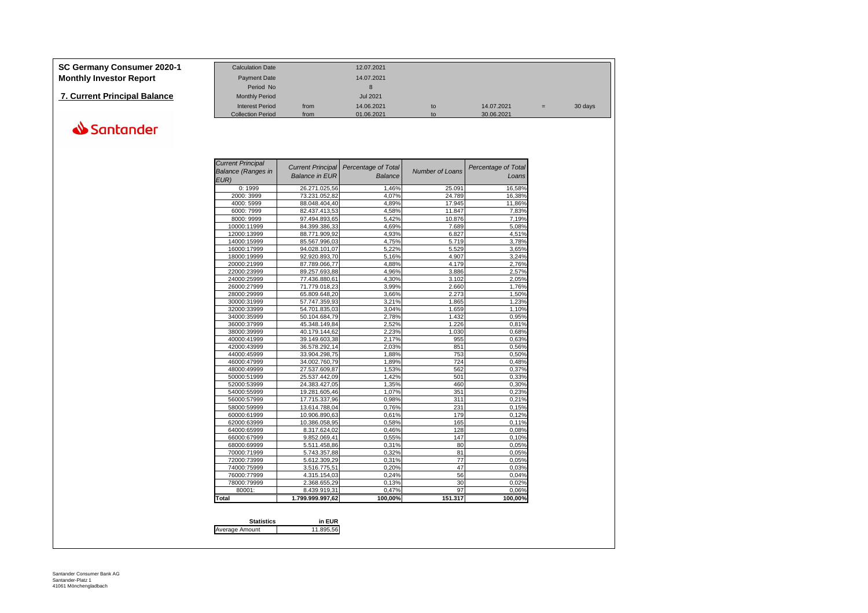## **SC Germany Consumer 2020-1**

| SC Germany Consumer 2020-1          | <b>Calculation Date</b>  |      | 12.07.2021      |    |            |     |         |
|-------------------------------------|--------------------------|------|-----------------|----|------------|-----|---------|
| Monthly Investor Report             | <b>Payment Date</b>      |      | 14.07.2021      |    |            |     |         |
|                                     | Period No                |      | 8               |    |            |     |         |
| <b>7. Current Principal Balance</b> | <b>Monthly Period</b>    |      | <b>Jul 2021</b> |    |            |     |         |
|                                     | <b>Interest Period</b>   | from | 14.06.2021      | to | 14.07.2021 | $=$ | 30 days |
|                                     | <b>Collection Period</b> | from | 01.06.2021      |    | 30.06.2021 |     |         |

| <b>Current Principal</b>   |                                |                     |                        |                     |
|----------------------------|--------------------------------|---------------------|------------------------|---------------------|
| <b>Balance (Ranges in</b>  | <b>Current Principal</b>       | Percentage of Total | <b>Number of Loans</b> | Percentage of Total |
| EUR)                       | <b>Balance in EUR</b>          | Balance             |                        | Loans               |
| 0:1999                     | 26.271.025,56                  | 1,46%               | 25.091                 | 16,58%              |
| 2000: 3999                 | 73.231.052,82                  | 4,07%               | 24.789                 | 16,38%              |
| 4000: 5999                 | 88.048.404,40                  | 4,89%               | 17.945                 | 11,86%              |
| 6000: 7999                 | 82.437.413,53                  | 4,58%               | 11.847                 | 7,83%               |
| 8000: 9999                 | 97.494.893,65                  | 5,42%               | 10.876                 | 7,19%               |
| 10000:11999                | 84.399.386,33                  | 4.69%               | 7.689                  | 5,08%               |
| 12000:13999                | 88.771.909,92                  | 4,93%               | 6.827                  | 4,51%               |
| 14000:15999                | 85.567.996.03                  | 4.75%               | 5.719                  | 3.78%               |
| 16000:17999                | 94.028.101.07                  | 5,22%               | 5.529                  | 3,65%               |
| 18000:19999                | 92.920.893,70                  | 5,16%               | 4.907                  | 3,24%               |
| 20000:21999                | 87.789.066,77                  | 4,88%               | 4.179                  | 2,76%               |
|                            |                                |                     |                        |                     |
| 22000:23999<br>24000:25999 | 89.257.693.88<br>77.436.880.61 | 4.96%<br>4.30%      | 3.886<br>3.102         | 2.57%<br>2.05%      |
|                            |                                |                     |                        |                     |
| 26000:27999                | 71.779.018.23                  | 3.99%<br>3,66%      | 2.660<br>2.273         | 1,76%<br>1,50%      |
| 28000:29999                | 65.809.648,20                  |                     |                        |                     |
| 30000:31999                | 57.747.359,93                  | 3,21%               | 1.865                  | 1,23%               |
| 32000:33999                | 54.701.835,03                  | 3,04%               | 1.659                  | 1,10%               |
| 34000:35999                | 50.104.684.79                  | 2.78%               | 1.432                  | 0.95%               |
| 36000:37999                | 45.348.149,84                  | 2,52%               | 1.226                  | 0,81%               |
| 38000:39999                | 40.179.144,62                  | 2,23%               | 1.030                  | 0,68%               |
| 40000:41999                | 39.149.603,38                  | 2,17%               | 955                    | 0,63%               |
| 42000:43999                | 36.578.292,14                  | 2,03%               | 851                    | 0.56%               |
| 44000:45999                | 33.904.298,75                  | 1,88%               | 753                    | 0.50%               |
| 46000:47999                | 34.002.760,79                  | 1,89%               | 724                    | 0,48%               |
| 48000:49999                | 27.537.609,87                  | 1,53%               | 562                    | 0,37%               |
| 50000:51999                | 25.537.442.09                  | 1.42%               | 501                    | 0.33%               |
| 52000:53999                | 24.383.427.05                  | 1,35%               | 460                    | 0.30%               |
| 54000:55999                | 19.281.605,46                  | 1,07%               | 351                    | 0,23%               |
| 56000:57999                | 17.715.337.96                  | 0,98%               | 311                    | 0,21%               |
| 58000:59999                | 13.614.788,04                  | 0,76%               | 231                    | 0,15%               |
| 60000:61999                | 10.906.890.63                  | 0.61%               | 179                    | 0.12%               |
| 62000:63999                | 10.386.058,95                  | 0,58%               | 165                    | 0.11%               |
| 64000:65999                | 8.317.624,02                   | 0,46%               | 128                    | 0,08%               |
| 66000:67999                | 9.852.069,41                   | 0,55%               | 147                    | 0,10%               |
| 68000:69999                | 5.511.458,86                   | 0,31%               | 80                     | 0,05%               |
| 70000:71999                | 5.743.357,88                   | 0.32%               | 81                     | 0.05%               |
| 72000:73999                | 5.612.309,29                   | 0,31%               | 77                     | 0,05%               |
| 74000:75999                | 3.516.775,51                   | 0,20%               | 47                     | 0,03%               |
| 76000:77999                | 4.315.154.03                   | 0.24%               | 56                     | 0.04%               |
| 78000:79999                | 2.368.655,29                   | 0,13%               | 30                     | 0,02%               |
| 80001:                     | 8.439.919.31                   | 0.47%               | 97                     | 0.06%               |
| Total                      | 1.799.999.997.62               | 100,00%             | 151.317                | 100,00%             |

| <b>Statistics</b> | in FUR    |
|-------------------|-----------|
| Average Amount    | 11 895 56 |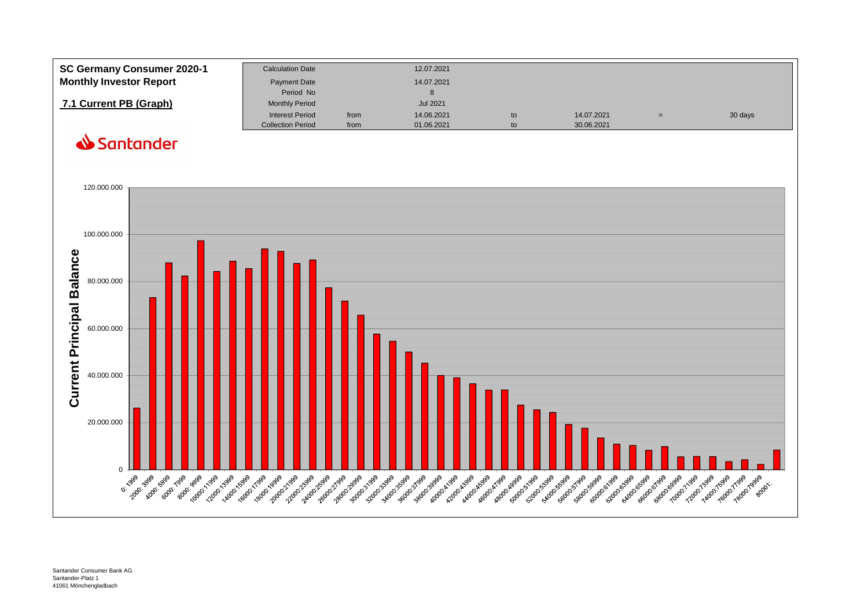| SC Germany Consumer 2020-1     | <b>Calculation Date</b>  |      | 12.07.2021      |    |            |     |         |
|--------------------------------|--------------------------|------|-----------------|----|------------|-----|---------|
| <b>Monthly Investor Report</b> | Payment Date             |      | 14.07.2021      |    |            |     |         |
|                                | Period No                |      | 8               |    |            |     |         |
| 7.1 Current PB (Graph)         | <b>Monthly Period</b>    |      | <b>Jul 2021</b> |    |            |     |         |
|                                | <b>Interest Period</b>   | from | 14.06.2021      | to | 14.07.2021 | $=$ | 30 days |
|                                | <b>Collection Period</b> | from | 01.06.2021      | to | 30.06.2021 |     |         |

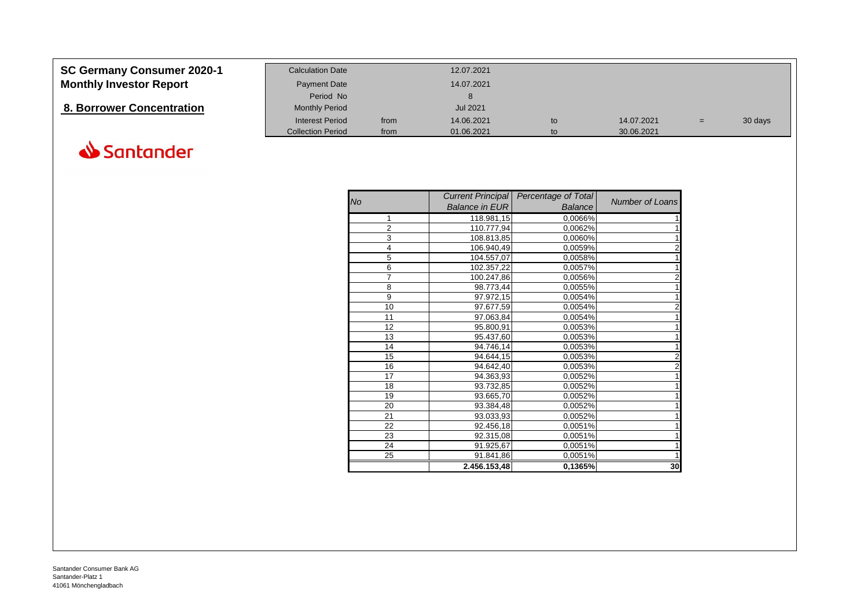| <b>SC Germany Consumer 2020-1</b> | <b>Calculation Date</b>  |      | 12.07.2021 |    |            |     |         |
|-----------------------------------|--------------------------|------|------------|----|------------|-----|---------|
| <b>Monthly Investor Report</b>    | <b>Payment Date</b>      |      | 14.07.2021 |    |            |     |         |
|                                   | Period No                |      |            |    |            |     |         |
| 8. Borrower Concentration         | <b>Monthly Period</b>    |      | Jul 2021   |    |            |     |         |
|                                   | <b>Interest Period</b>   | from | 14.06.2021 | to | 14.07.2021 | $=$ | 30 days |
|                                   | <b>Collection Period</b> | from | 01.06.2021 | to | 30.06.2021 |     |         |



| <b>No</b>      | <b>Current Principal</b><br><b>Balance in EUR</b> | <b>Percentage of Total</b><br><b>Balance</b> | Number of Loans         |
|----------------|---------------------------------------------------|----------------------------------------------|-------------------------|
| 1              | 118.981,15                                        | 0,0066%                                      |                         |
| $\overline{2}$ | 110.777,94                                        | 0,0062%                                      |                         |
| 3              | 108.813,85                                        | 0,0060%                                      | 1                       |
| 4              | 106.940,49                                        | 0,0059%                                      | $\overline{\mathbf{c}}$ |
| 5              | 104.557,07                                        | 0,0058%                                      | 1                       |
| 6              | 102.357,22                                        | 0,0057%                                      | 1                       |
| 7              | 100.247,86                                        | 0,0056%                                      | $\overline{2}$          |
| 8              | 98.773,44                                         | 0,0055%                                      | 1                       |
| 9              | 97.972,15                                         | 0,0054%                                      | 1                       |
| 10             | 97.677,59                                         | 0,0054%                                      | $\overline{2}$          |
| 11             | 97.063,84                                         | 0,0054%                                      |                         |
| 12             | 95.800,91                                         | 0,0053%                                      | 1                       |
| 13             | 95.437,60                                         | 0,0053%                                      | 1                       |
| 14             | 94.746,14                                         | 0,0053%                                      | $\mathbf{1}$            |
| 15             | 94.644,15                                         | 0,0053%                                      | $\overline{\mathbf{c}}$ |
| 16             | 94.642,40                                         | 0,0053%                                      | $\overline{\mathbf{c}}$ |
| 17             | 94.363,93                                         | 0,0052%                                      | $\mathbf{1}$            |
| 18             | 93.732,85                                         | 0,0052%                                      | 1                       |
| 19             | 93.665,70                                         | 0,0052%                                      | 1                       |
| 20             | 93.384,48                                         | 0,0052%                                      | 1                       |
| 21             | 93.033,93                                         | 0,0052%                                      |                         |
| 22             | 92.456,18                                         | 0,0051%                                      | 1                       |
| 23             | 92.315,08                                         | 0,0051%                                      | 1                       |
| 24             | 91.925,67                                         | 0,0051%                                      |                         |
| 25             | 91.841,86                                         | 0,0051%                                      |                         |
|                | 2.456.153,48                                      | 0,1365%                                      | 30                      |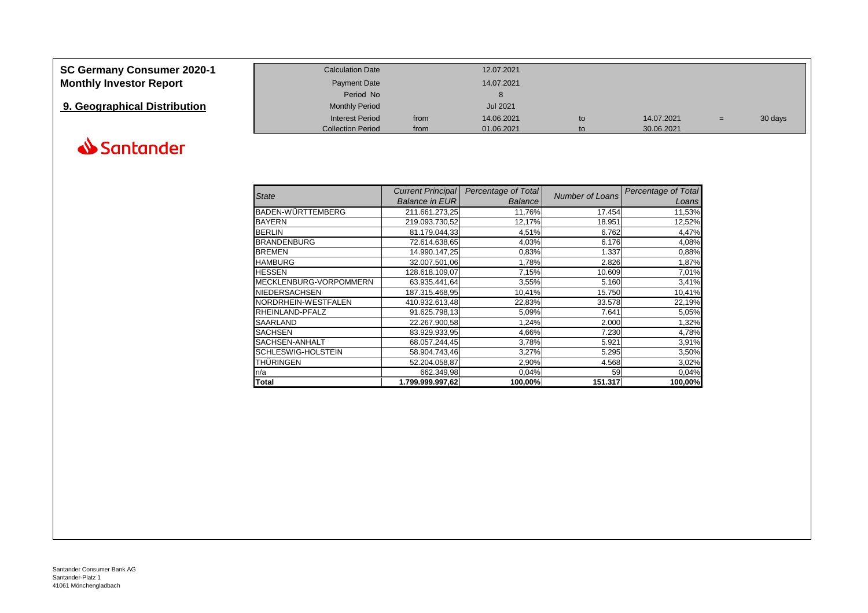| <b>SC Germany Consumer 2020-1</b> | <b>Calculation Date</b>  |      | 12.07.2021      |    |            |     |         |
|-----------------------------------|--------------------------|------|-----------------|----|------------|-----|---------|
| <b>Monthly Investor Report</b>    | Payment Date             |      | 14.07.2021      |    |            |     |         |
|                                   | Period No                |      |                 |    |            |     |         |
| 9. Geographical Distribution      | <b>Monthly Period</b>    |      | <b>Jul 2021</b> |    |            |     |         |
|                                   | <b>Interest Period</b>   | from | 14.06.2021      | to | 14.07.2021 | $=$ | 30 days |
|                                   | <b>Collection Period</b> | from | 01.06.2021      | to | 30.06.2021 |     |         |



|                        | <b>Current Principal</b> | Percentage of Total |                        | Percentage of Total |
|------------------------|--------------------------|---------------------|------------------------|---------------------|
| <b>State</b>           | <b>Balance in EUR</b>    | <b>Balance</b>      | <b>Number of Loans</b> | Loans               |
| BADEN-WÜRTTEMBERG      | 211.661.273,25           | 11,76%              | 17.454                 | 11,53%              |
| <b>BAYERN</b>          | 219.093.730,52           | 12,17%              | 18.951                 | 12,52%              |
| <b>BERLIN</b>          | 81.179.044,33            | 4,51%               | 6.762                  | 4,47%               |
| <b>BRANDENBURG</b>     | 72.614.638,65            | 4,03%               | 6.176                  | 4,08%               |
| <b>BREMEN</b>          | 14.990.147,25            | 0,83%               | 1.337                  | 0,88%               |
| <b>HAMBURG</b>         | 32.007.501,06            | 1,78%               | 2.826                  | 1,87%               |
| <b>HESSEN</b>          | 128.618.109,07           | 7,15%               | 10.609                 | 7,01%               |
| MECKLENBURG-VORPOMMERN | 63.935.441,64            | 3,55%               | 5.160                  | 3,41%               |
| <b>NIEDERSACHSEN</b>   | 187.315.468,95           | 10,41%              | 15.750                 | 10,41%              |
| NORDRHEIN-WESTFALEN    | 410.932.613,48           | 22,83%              | 33.578                 | 22,19%              |
| RHEINLAND-PFALZ        | 91.625.798,13            | 5,09%               | 7.641                  | 5,05%               |
| SAARLAND               | 22.267.900,58            | 1,24%               | 2.000                  | 1,32%               |
| <b>SACHSEN</b>         | 83.929.933,95            | 4,66%               | 7.230                  | 4,78%               |
| SACHSEN-ANHALT         | 68.057.244,45            | 3,78%               | 5.921                  | 3,91%               |
| SCHLESWIG-HOLSTEIN     | 58.904.743,46            | 3,27%               | 5.295                  | 3,50%               |
| THÜRINGEN              | 52.204.058,87            | 2,90%               | 4.568                  | 3,02%               |
| n/a                    | 662.349,98               | 0,04%               | 59                     | 0,04%               |
| Total                  | 1.799.999.997,62         | 100,00%             | 151.317                | 100,00%             |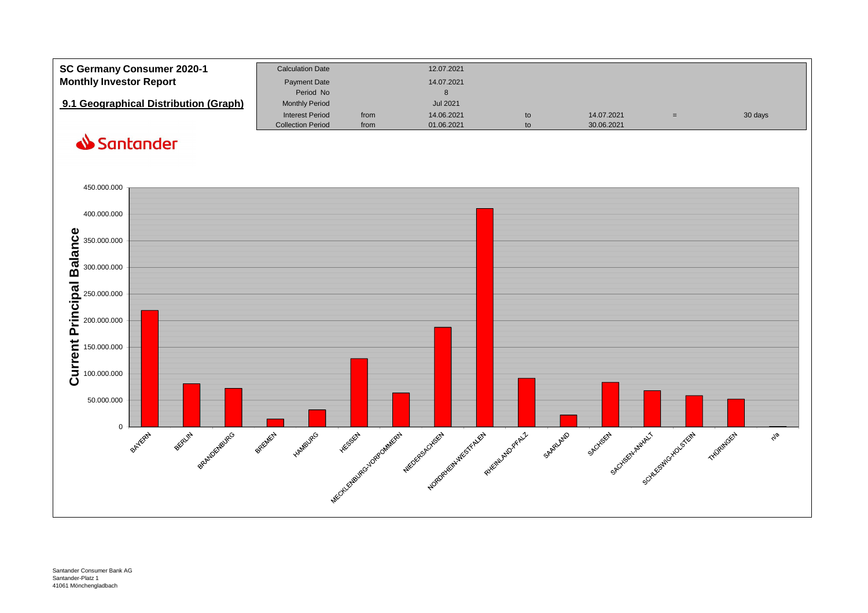| SC Germany Consumer 2020-1            | <b>Calculation Date</b>  |      | 12.07.2021      |    |            |         |
|---------------------------------------|--------------------------|------|-----------------|----|------------|---------|
| <b>Monthly Investor Report</b>        | <b>Payment Date</b>      |      | 14.07.2021      |    |            |         |
|                                       | Period No                |      |                 |    |            |         |
| 9.1 Geographical Distribution (Graph) | <b>Monthly Period</b>    |      | <b>Jul 2021</b> |    |            |         |
|                                       | <b>Interest Period</b>   | from | 14.06.2021      | to | 14.07.2021 | 30 days |
|                                       | <b>Collection Period</b> | from | 01.06.2021      |    | 30.06.2021 |         |

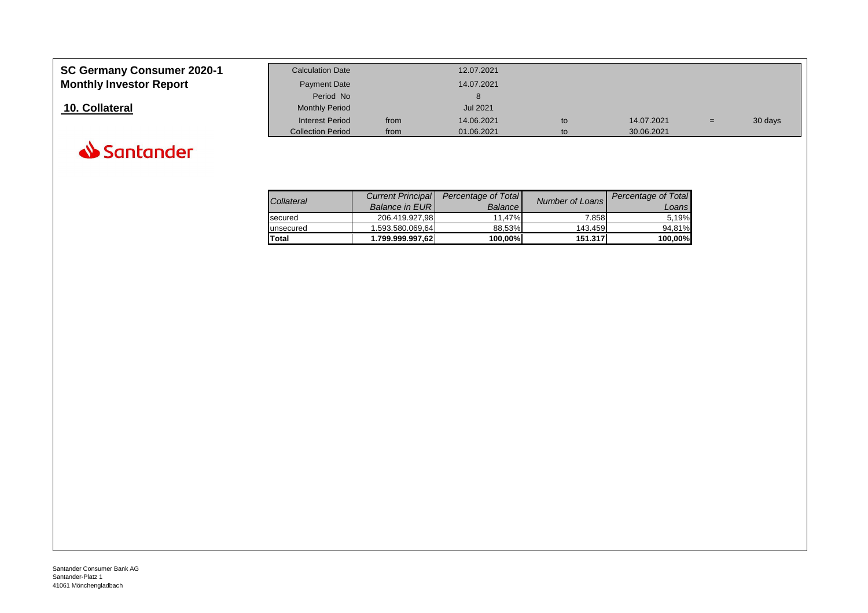| <b>SC Germany Consumer 2020-1</b> | <b>Calculation Date</b>  |      | 12.07.2021      |    |            |     |         |
|-----------------------------------|--------------------------|------|-----------------|----|------------|-----|---------|
| <b>Monthly Investor Report</b>    | <b>Payment Date</b>      |      | 14.07.2021      |    |            |     |         |
|                                   | Period No                |      |                 |    |            |     |         |
| 10. Collateral                    | <b>Monthly Period</b>    |      | <b>Jul 2021</b> |    |            |     |         |
|                                   | <b>Interest Period</b>   | from | 14.06.2021      | to | 14.07.2021 | $=$ | 30 days |
|                                   | <b>Collection Period</b> | from | 01.06.2021      | to | 30.06.2021 |     |         |



| Collateral   | <b>Current Principal</b> | <b>Percentage of Total</b> | Number of Loans | Percentage of Total |
|--------------|--------------------------|----------------------------|-----------------|---------------------|
|              | <b>Balance in EURI</b>   | <b>Balance</b>             |                 | Loans               |
| secured      | 206.419.927.98           | 11.47%                     | 7.858           | 5.19%               |
| unsecured    | 1.593.580.069.64         | 88.53%                     | 143.459         | 94.81%              |
| <b>Total</b> | 1.799.999.997,62         | 100,00%                    | 151.317         | 100,00%             |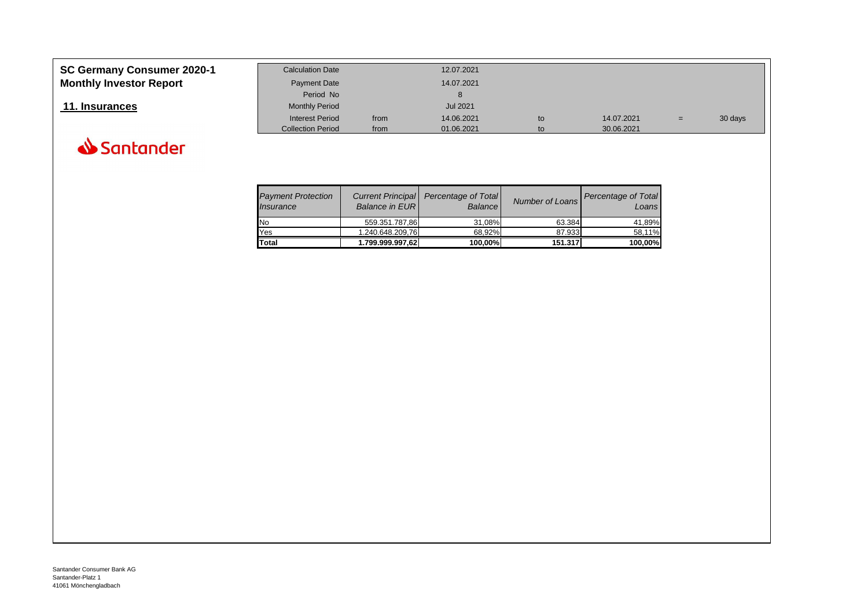| SC Germany Consumer 2020-1     | <b>Calculation Date</b>  |      | 12.07.2021      |    |            |     |         |
|--------------------------------|--------------------------|------|-----------------|----|------------|-----|---------|
| <b>Monthly Investor Report</b> | <b>Payment Date</b>      |      | 14.07.2021      |    |            |     |         |
|                                | Period No                |      |                 |    |            |     |         |
| 11. Insurances                 | <b>Monthly Period</b>    |      | <b>Jul 2021</b> |    |            |     |         |
|                                | Interest Period          | from | 14.06.2021      | to | 14.07.2021 | $=$ | 30 days |
|                                | <b>Collection Period</b> | from | 01.06.2021      | to | 30.06.2021 |     |         |



| <b>Payment Protection</b><br>Insurance | <b>Balance in EURI</b> | Current Principal   Percentage of Total<br><b>Balance</b> | Number of Loans | Percentage of Total<br>Loans |
|----------------------------------------|------------------------|-----------------------------------------------------------|-----------------|------------------------------|
| <b>No</b>                              | 559.351.787,86         | 31,08%                                                    | 63.384          | 41.89%                       |
| Yes                                    | 1.240.648.209.76       | 68.92%                                                    | 87.933          | 58.11%                       |
| <b>Total</b>                           | 1.799.999.997,62       | 100,00%                                                   | 151.317         | 100,00%                      |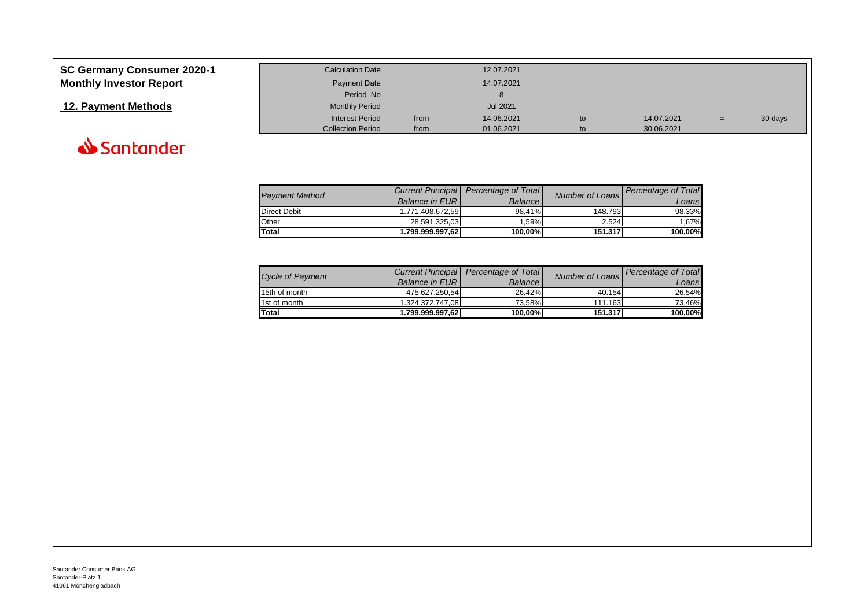| <b>SC Germany Consumer 2020-1</b> | <b>Calculation Date</b>  |      | 12.07.2021      |    |            |     |         |
|-----------------------------------|--------------------------|------|-----------------|----|------------|-----|---------|
| <b>Monthly Investor Report</b>    | Payment Date             |      | 14.07.2021      |    |            |     |         |
|                                   | Period No                |      |                 |    |            |     |         |
| 12. Payment Methods               | <b>Monthly Period</b>    |      | <b>Jul 2021</b> |    |            |     |         |
|                                   | <b>Interest Period</b>   | from | 14.06.2021      | to | 14.07.2021 | $=$ | 30 days |
|                                   | <b>Collection Period</b> | from | 01.06.2021      | to | 30.06.2021 |     |         |



| <b>Payment Method</b> |                        | Current Principal   Percentage of Total | Number of Loans | Percentage of Total |
|-----------------------|------------------------|-----------------------------------------|-----------------|---------------------|
|                       | <b>Balance in EURI</b> | <b>Balance</b>                          |                 | Loansl              |
| <b>Direct Debit</b>   | 1.771.408.672.59       | 98.41%                                  | 148.793         | 98.33%              |
| Other                 | 28.591.325.03          | 1.59%                                   | 2.524           | 1.67%               |
| Total                 | 1.799.999.997.62       | 100.00%                                 | 151.317         | 100.00%             |

|                         |                        | Current Principal   Percentage of Total |                 | Percentage of Total |
|-------------------------|------------------------|-----------------------------------------|-----------------|---------------------|
| <b>Cycle of Payment</b> | <b>Balance in EURI</b> | <b>Balance</b>                          | Number of Loans | Loans!              |
| 15th of month           | 475.627.250.54         | 26.42%                                  | 40.154          | 26.54%              |
| 1st of month            | 1.324.372.747.08       | 73.58%l                                 | 111.163         | 73.46%              |
| Total                   | 1.799.999.997.62       | 100.00%                                 | 151.317         | 100,00%             |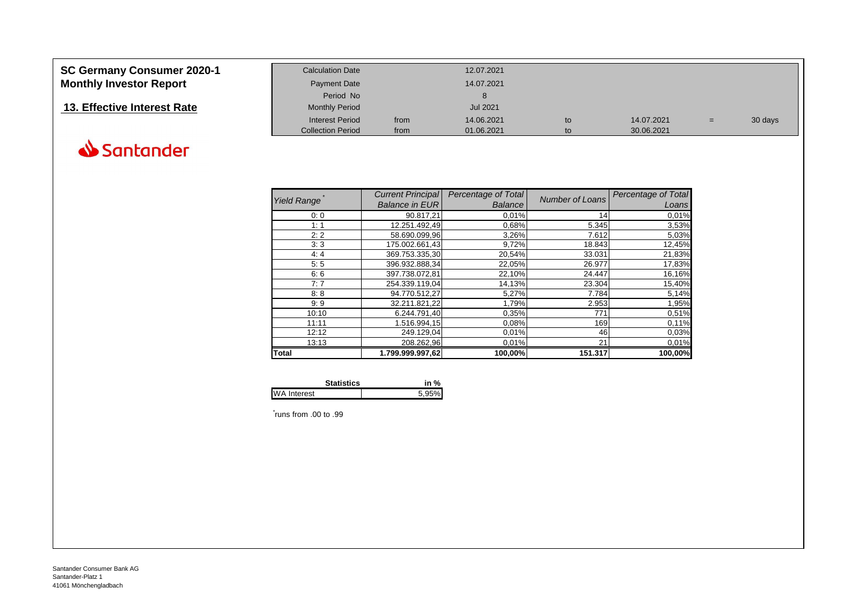| <b>SC Germany Consumer 2020-1</b> | <b>Calculation Date</b>  |      | 12.07.2021      |    |            |   |         |
|-----------------------------------|--------------------------|------|-----------------|----|------------|---|---------|
| <b>Monthly Investor Report</b>    | <b>Payment Date</b>      |      | 14.07.2021      |    |            |   |         |
|                                   | Period No                |      |                 |    |            |   |         |
| 13. Effective Interest Rate       | <b>Monthly Period</b>    |      | <b>Jul 2021</b> |    |            |   |         |
|                                   | <b>Interest Period</b>   | from | 14.06.2021      | to | 14.07.2021 | = | 30 days |
|                                   | <b>Collection Period</b> | from | 01.06.2021      | to | 30.06.2021 |   |         |

|                    | <b>Current Principal</b> | Percentage of Total | <b>Number of Loans</b> | Percentage of Total |
|--------------------|--------------------------|---------------------|------------------------|---------------------|
| <b>Yield Range</b> | <b>Balance in EUR</b>    | <b>Balance</b>      |                        | Loans               |
| 0:0                | 90.817,21                | 0,01%               | 14                     | 0,01%               |
| 1:1                | 12.251.492,49            | 0,68%               | 5.345                  | 3,53%               |
| 2:2                | 58.690.099,96            | 3,26%               | 7.612                  | 5,03%               |
| 3:3                | 175.002.661.43           | 9,72%               | 18.843                 | 12,45%              |
| 4:4                | 369.753.335,30           | 20,54%              | 33.031                 | 21,83%              |
| 5:5                | 396.932.888,34           | 22,05%              | 26.977                 | 17,83%              |
| 6:6                | 397.738.072.81           | 22,10%              | 24.447                 | 16,16%              |
| 7:7                | 254.339.119,04           | 14,13%              | 23.304                 | 15,40%              |
| 8:8                | 94.770.512,27            | 5,27%               | 7.784                  | 5,14%               |
| 9:9                | 32.211.821,22            | 1,79%               | 2.953                  | 1,95%               |
| 10:10              | 6.244.791.40             | 0,35%               | 771                    | 0,51%               |
| 11:11              | 1.516.994,15             | 0,08%               | 169                    | 0,11%               |
| 12:12              | 249.129,04               | 0,01%               | 46                     | 0,03%               |
| 13:13              | 208.262,96               | 0,01%               | 21                     | 0,01%               |
| <b>Total</b>       | 1.799.999.997,62         | 100,00%             | 151.317                | 100,00%             |

|                    | <b>Statistics</b> | in %  |
|--------------------|-------------------|-------|
| <b>WA Interest</b> |                   | 5.95% |

\* runs from .00 to .99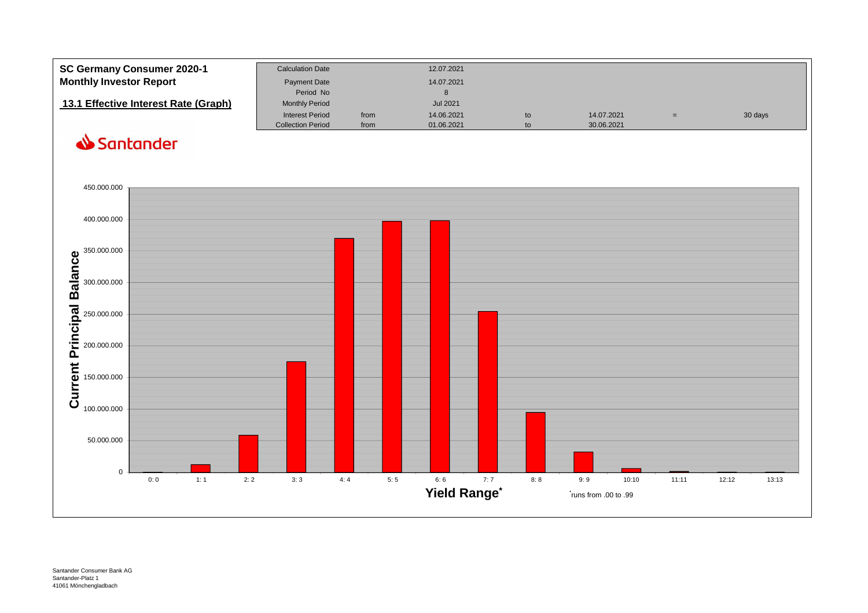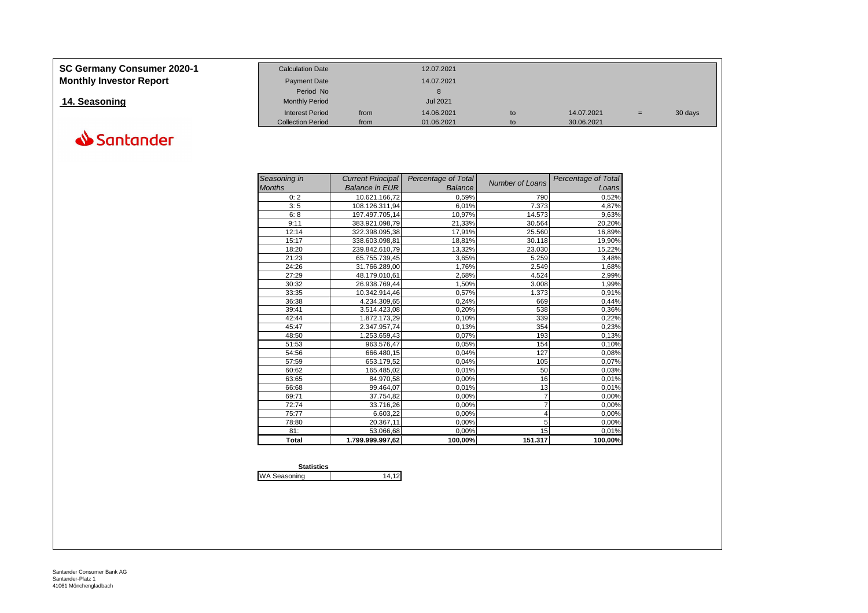| <b>SC Germany Consumer 2020-1</b> | <b>Calculation Date</b>  |      | 12.07.2021      |    |            |     |         |
|-----------------------------------|--------------------------|------|-----------------|----|------------|-----|---------|
| <b>Monthly Investor Report</b>    | <b>Payment Date</b>      |      | 14.07.2021      |    |            |     |         |
|                                   | Period No                |      |                 |    |            |     |         |
| 14. Seasoning                     | <b>Monthly Period</b>    |      | <b>Jul 2021</b> |    |            |     |         |
|                                   | <b>Interest Period</b>   | from | 14.06.2021      | to | 14.07.2021 | $=$ | 30 days |
|                                   | <b>Collection Period</b> | from | 01.06.2021      | to | 30.06.2021 |     |         |

| Seasoning in  | <b>Current Principal</b> | Percentage of Total |                        | Percentage of Total |
|---------------|--------------------------|---------------------|------------------------|---------------------|
| <b>Months</b> | <b>Balance in EUR</b>    | <b>Balance</b>      | <b>Number of Loans</b> | Loans               |
| 0:2           | 10.621.166,72            | 0,59%               | 790                    | 0,52%               |
| 3:5           | 108.126.311,94           | 6,01%               | 7.373                  | 4,87%               |
| 6:8           | 197.497.705,14           | 10,97%              | 14.573                 | 9,63%               |
| 9:11          | 383.921.098,79           | 21,33%              | 30.564                 | 20,20%              |
| 12:14         | 322.398.095,38           | 17,91%              | 25.560                 | 16,89%              |
| 15:17         | 338.603.098,81           | 18,81%              | 30.118                 | 19,90%              |
| 18:20         | 239.842.610,79           | 13,32%              | 23.030                 | 15,22%              |
| 21:23         | 65.755.739,45            | 3,65%               | 5.259                  | 3,48%               |
| 24:26         | 31.766.289,00            | 1,76%               | 2.549                  | 1,68%               |
| 27:29         | 48.179.010,61            | 2,68%               | 4.524                  | 2,99%               |
| 30:32         | 26.938.769,44            | 1,50%               | 3.008                  | 1,99%               |
| 33:35         | 10.342.914,46            | 0,57%               | 1.373                  | 0,91%               |
| 36:38         | 4.234.309,65             | 0,24%               | 669                    | 0,44%               |
| 39:41         | 3.514.423,08             | 0,20%               | 538                    | 0,36%               |
| 42:44         | 1.872.173,29             | 0,10%               | 339                    | 0,22%               |
| 45:47         | 2.347.957,74             | 0,13%               | 354                    | 0,23%               |
| 48:50         | 1.253.659,43             | 0,07%               | 193                    | 0,13%               |
| 51:53         | 963.576,47               | 0,05%               | 154                    | 0,10%               |
| 54:56         | 666.480,15               | 0,04%               | 127                    | 0,08%               |
| 57:59         | 653.179,52               | 0,04%               | 105                    | 0,07%               |
| 60:62         | 165.485,02               | 0,01%               | 50                     | 0,03%               |
| 63:65         | 84.970,58                | 0,00%               | 16                     | 0,01%               |
| 66:68         | 99.464,07                | 0,01%               | 13                     | 0,01%               |
| 69:71         | 37.754,82                | 0,00%               | 7                      | 0,00%               |
| 72:74         | 33.716,26                | 0,00%               |                        | 0,00%               |
| 75:77         | 6.603,22                 | 0,00%               | 4                      | 0,00%               |
| 78:80         | 20.367,11                | 0,00%               | 5                      | 0,00%               |
| 81:           | 53.066,68                | 0,00%               | 15                     | 0,01%               |
| <b>Total</b>  | 1.799.999.997.62         | 100,00%             | 151.317                | 100,00%             |

| <b>Statistics</b>   |    |
|---------------------|----|
| <b>WA Seasoning</b> | 14 |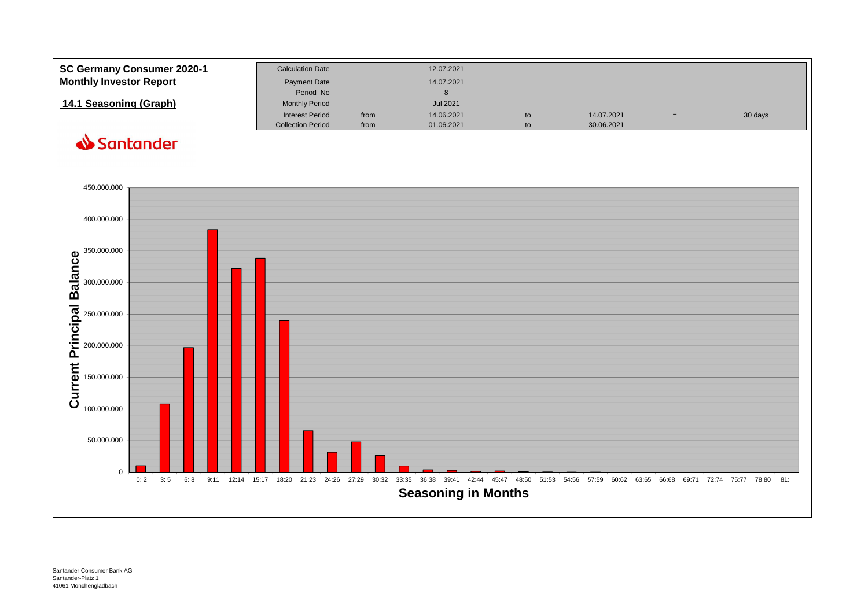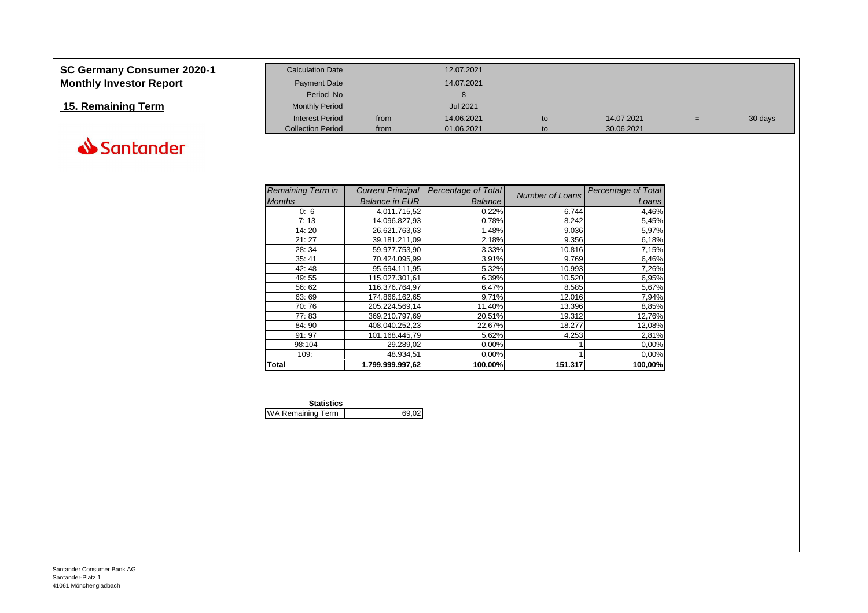| <b>SC Germany Consumer 2020-1</b> | <b>Calculation Date</b>  |      | 12.07.2021 |    |            |     |         |
|-----------------------------------|--------------------------|------|------------|----|------------|-----|---------|
| <b>Monthly Investor Report</b>    | <b>Payment Date</b>      |      | 14.07.2021 |    |            |     |         |
|                                   | Period No                |      |            |    |            |     |         |
| 15. Remaining Term                | <b>Monthly Period</b>    |      | Jul 2021   |    |            |     |         |
|                                   | <b>Interest Period</b>   | from | 14.06.2021 | to | 14.07.2021 | $=$ | 30 days |
|                                   | <b>Collection Period</b> | from | 01.06.2021 | to | 30.06.2021 |     |         |



| <b>Remaining Term in</b> | <b>Current Principal</b> | Percentage of Total | Number of Loans | Percentage of Total |
|--------------------------|--------------------------|---------------------|-----------------|---------------------|
| <b>Months</b>            | <b>Balance in EUR</b>    | <b>Balance</b>      |                 | Loans               |
| 0:6                      | 4.011.715.52             | 0,22%               | 6.744           | 4,46%               |
| 7:13                     | 14.096.827.93            | 0,78%               | 8.242           | 5,45%               |
| 14:20                    | 26.621.763,63            | 1,48%               | 9.036           | 5,97%               |
| 21:27                    | 39.181.211,09            | 2,18%               | 9.356           | 6,18%               |
| 28:34                    | 59.977.753,90            | 3,33%               | 10.816          | 7,15%               |
| 35:41                    | 70.424.095.99            | 3,91%               | 9.769           | 6,46%               |
| 42:48                    | 95.694.111,95            | 5,32%               | 10.993          | 7,26%               |
| 49:55                    | 115.027.301,61           | 6,39%               | 10.520          | 6,95%               |
| 56:62                    | 116.376.764.97           | 6,47%               | 8.585           | 5,67%               |
| 63:69                    | 174.866.162,65           | 9,71%               | 12.016          | 7,94%               |
| 70:76                    | 205.224.569.14           | 11,40%              | 13.396          | 8,85%               |
| 77:83                    | 369.210.797,69           | 20,51%              | 19.312          | 12,76%              |
| 84:90                    | 408.040.252,23           | 22,67%              | 18.277          | 12,08%              |
| 91:97                    | 101.168.445,79           | 5,62%               | 4.253           | 2,81%               |
| 98:104                   | 29.289,02                | 0,00%               |                 | 0,00%               |
| 109:                     | 48.934,51                | 0,00%               |                 | 0,00%               |
| <b>Total</b>             | 1.799.999.997,62         | 100,00%             | 151.317         | 100,00%             |

| <b>Statistics</b>        |       |
|--------------------------|-------|
| <b>WA Remaining Term</b> | 69.02 |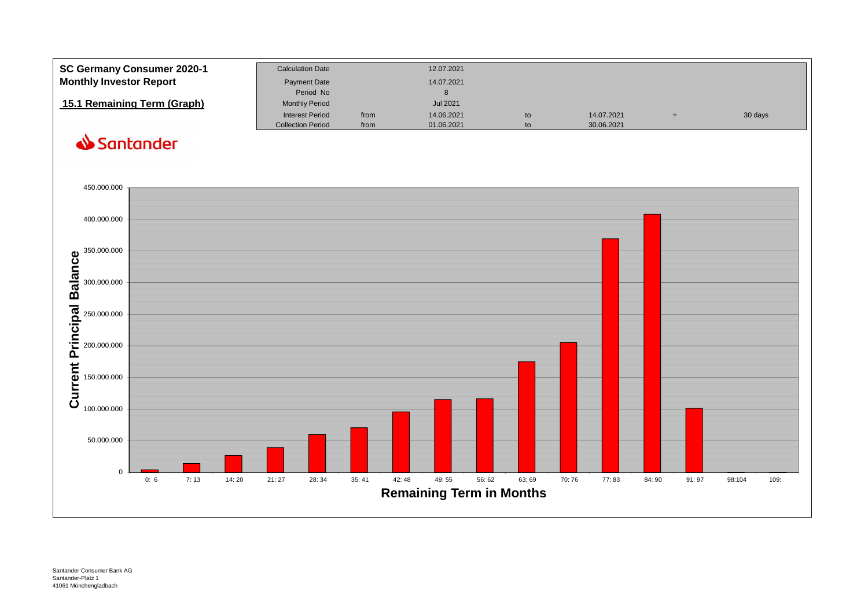| <b>SC Germany Consumer 2020-1</b> | <b>Calculation Date</b>  |      | 12.07.2021      |    |            |         |
|-----------------------------------|--------------------------|------|-----------------|----|------------|---------|
| <b>Monthly Investor Report</b>    | Payment Date             |      | 14.07.2021      |    |            |         |
|                                   | Period No                |      |                 |    |            |         |
| 15.1 Remaining Term (Graph)       | <b>Monthly Period</b>    |      | <b>Jul 2021</b> |    |            |         |
|                                   | <b>Interest Period</b>   | from | 14.06.2021      | to | 14.07.2021 | 30 days |
|                                   | <b>Collection Period</b> | from | 01.06.2021      |    | 30.06.2021 |         |
|                                   |                          |      |                 |    |            |         |

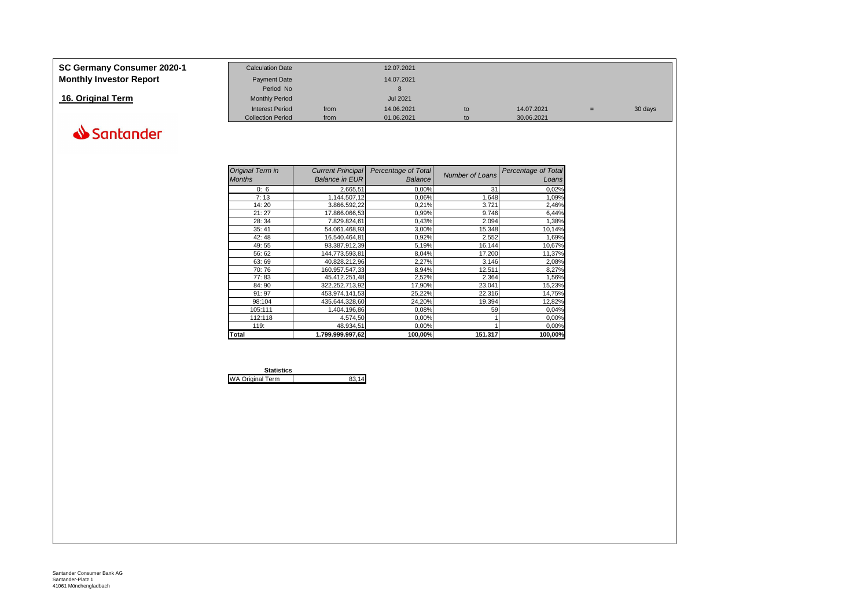| SC Germany Consumer 2020-1     | <b>Calculation Date</b>  |      | 12.07.2021      |    |            |   |         |
|--------------------------------|--------------------------|------|-----------------|----|------------|---|---------|
| <b>Monthly Investor Report</b> | <b>Payment Date</b>      |      | 14.07.2021      |    |            |   |         |
|                                | Period No                |      |                 |    |            |   |         |
| 16. Original Term              | <b>Monthly Period</b>    |      | <b>Jul 2021</b> |    |            |   |         |
|                                | <b>Interest Period</b>   | from | 14.06.2021      | to | 14.07.2021 | = | 30 days |
|                                | <b>Collection Period</b> | from | 01.06.2021      | to | 30.06.2021 |   |         |

| Original Term in<br><b>Months</b> | <b>Current Principal</b><br><b>Balance in EUR</b> | Percentage of Total<br><b>Balance</b> | <b>Number of Loans</b> | Percentage of Total<br>Loans |
|-----------------------------------|---------------------------------------------------|---------------------------------------|------------------------|------------------------------|
| 0:6                               | 2.665,51                                          | 0,00%                                 | 31                     | 0,02%                        |
| 7:13                              | 1.144.507,12                                      | 0,06%                                 | 1.648                  | 1,09%                        |
| 14:20                             | 3.866.592,22                                      | 0,21%                                 | 3.721                  | 2,46%                        |
| 21:27                             | 17.866.066,53                                     | 0,99%                                 | 9.746                  | 6,44%                        |
| 28:34                             | 7.829.824,61                                      | 0,43%                                 | 2.094                  | 1,38%                        |
| 35:41                             | 54.061.468.93                                     | 3,00%                                 | 15.348                 | 10,14%                       |
| 42:48                             | 16.540.464.81                                     | 0,92%                                 | 2.552                  | 1,69%                        |
| 49:55                             | 93.387.912,39                                     | 5,19%                                 | 16.144                 | 10,67%                       |
| 56:62                             | 144.773.593,81                                    | 8,04%                                 | 17.200                 | 11,37%                       |
| 63:69                             | 40.828.212,96                                     | 2,27%                                 | 3.146                  | 2,08%                        |
| 70:76                             | 160.957.547.33                                    | 8,94%                                 | 12.511                 | 8,27%                        |
| 77:83                             | 45.412.251.48                                     | 2,52%                                 | 2.364                  | 1,56%                        |
| 84:90                             | 322.252.713.92                                    | 17,90%                                | 23.041                 | 15,23%                       |
| 91:97                             | 453.974.141,53                                    | 25,22%                                | 22.316                 | 14,75%                       |
| 98:104                            | 435.644.328,60                                    | 24,20%                                | 19.394                 | 12,82%                       |
| 105:111                           | 1.404.196,86                                      | 0,08%                                 | 59                     | 0,04%                        |
| 112:118                           | 4.574,50                                          | 0,00%                                 |                        | 0,00%                        |
| 119:                              | 48.934,51                                         | 0,00%                                 |                        | 0,00%                        |
| <b>Total</b>                      | 1.799.999.997,62                                  | 100,00%                               | 151.317                | 100,00%                      |

| <b>Statistics</b>       |  |
|-------------------------|--|
| <b>WA Original Term</b> |  |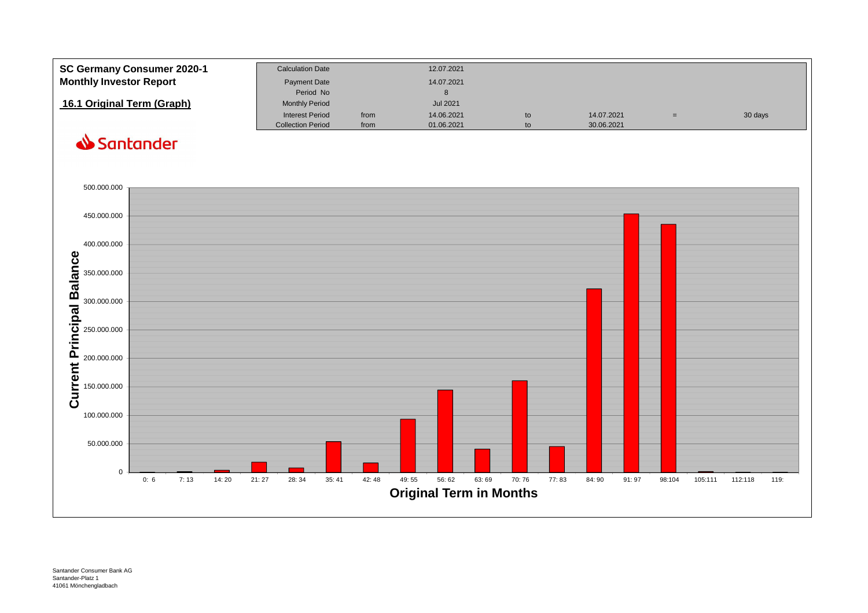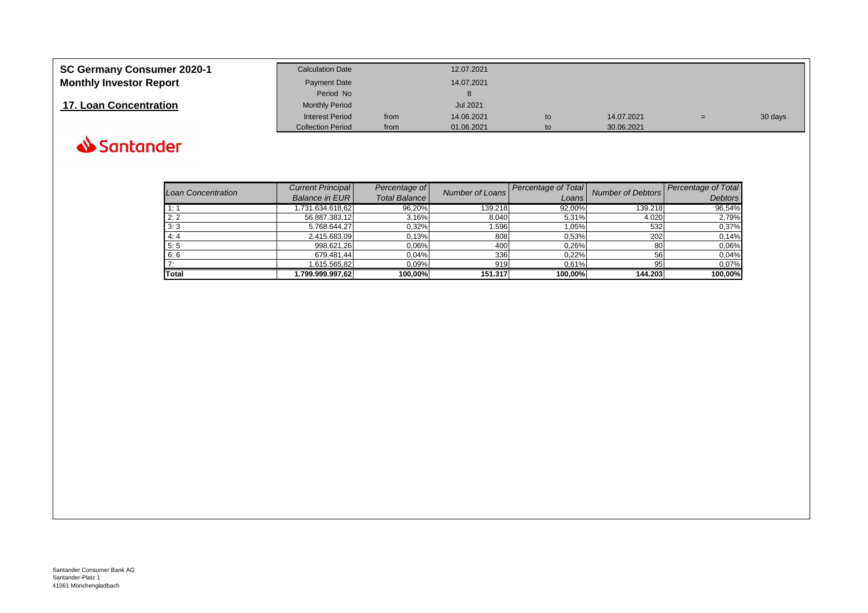| SC Germany Consumer 2020-1     | <b>Calculation Date</b>  |      | 12.07.2021      |    |            |     |         |
|--------------------------------|--------------------------|------|-----------------|----|------------|-----|---------|
| <b>Monthly Investor Report</b> | <b>Payment Date</b>      |      | 14.07.2021      |    |            |     |         |
|                                | Period No                |      |                 |    |            |     |         |
| 17. Loan Concentration         | <b>Monthly Period</b>    |      | <b>Jul 2021</b> |    |            |     |         |
|                                | <b>Interest Period</b>   | from | 14.06.2021      | to | 14.07.2021 | $=$ | 30 days |
|                                | <b>Collection Period</b> | from | 01.06.2021      | to | 30.06.2021 |     |         |

| Loan Concentration | <b>Current Principal</b><br><b>Balance in EUR</b> | Percentage of<br><b>Total Balance</b> | Number of Loans | Percentage of Total<br>Loans | <b>Number of Debtors</b> | <b>Percentage of Total</b><br><b>Debtors</b> |
|--------------------|---------------------------------------------------|---------------------------------------|-----------------|------------------------------|--------------------------|----------------------------------------------|
|                    |                                                   |                                       |                 |                              |                          |                                              |
| 1:1                | 1.731.634.618.62                                  | 96,20%                                | 139.218         | 92,00%                       | 139.218                  | 96,54%                                       |
| 2:2                | 56.887.383,12                                     | 3,16%                                 | 8.040           | 5,31%                        | 4.020                    | 2,79%                                        |
| 3:3                | 5.768.644.27                                      | 0,32%                                 | .596            | 1,05%                        | 532                      | 0,37%                                        |
| 4:4                | 2.415.683,09                                      | 0,13%                                 | 808             | 0,53%                        | 202                      | 0.14%                                        |
| 5:5                | 998.621,26                                        | 0,06%                                 | 400             | 0,26%                        | 80                       | 0,06%                                        |
| 6:6                | 679.481.44                                        | 0.04%                                 | 336             | 0.22%                        | 56                       | 0,04%                                        |
|                    | 1.615.565,82                                      | 0,09%                                 | 919             | 0,61%                        | 95                       | 0,07%                                        |
| <b>Total</b>       | .799.999.997.62                                   | 100.00%                               | 151.317         | 100.00%                      | 144.203                  | 100,00%                                      |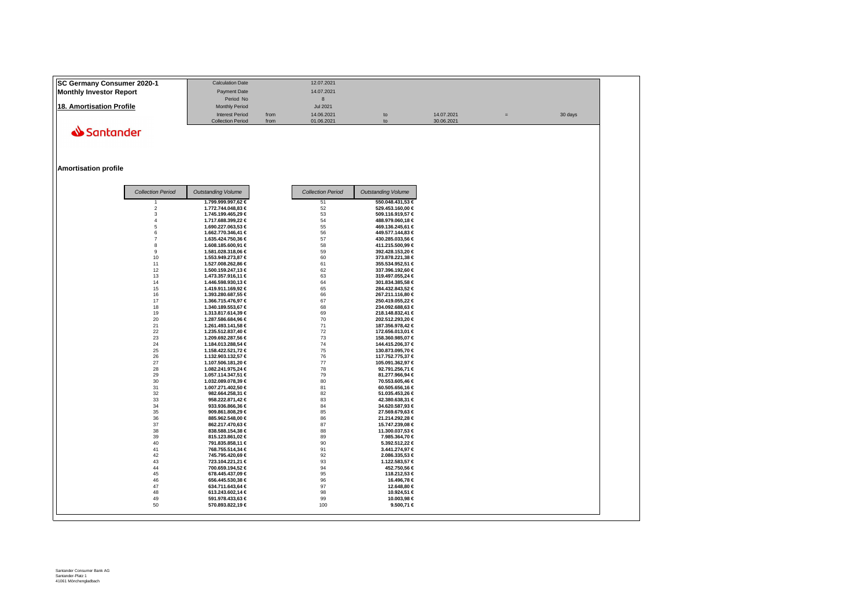| <b>ISC Germany Consumer 2020-1</b> | <b>Calculation Date</b>  |      | 12.07.2021 |    |            |         |
|------------------------------------|--------------------------|------|------------|----|------------|---------|
| Monthly Investor Report            | Payment Date             |      | 14.07.2021 |    |            |         |
|                                    | Period No                |      |            |    |            |         |
| 18. Amortisation Profile           | <b>Monthly Period</b>    |      | Jul 2021   |    |            |         |
|                                    | <b>Interest Period</b>   | from | 14.06.2021 | to | 14.07.2021 | 30 days |
|                                    | <b>Collection Period</b> | from | 01.06.2021 | to | 30.06.2021 |         |

#### **Amortisation profile**

|  | <b>Collection Period</b> | <b>Outstanding Volume</b> | <b>Collection Period</b> | <b>Outstanding Volume</b> |
|--|--------------------------|---------------------------|--------------------------|---------------------------|
|  |                          | 1.799.999.997,62 €        | 51                       | 550.048.431,53 €          |
|  | $\overline{2}$           | 1.772.744.048,83 €        | 52                       | 529.453.160,00 €          |
|  | 3                        | 1.745.199.465,29 €        | 53                       | 509.116.919,57 €          |
|  | $\Lambda$                | 1.717.688.399,22 €        | 54                       | 488.979.060,18 €          |
|  | 5                        | 1.690.227.063,53 €        | 55                       | 469.136.245,61 €          |
|  | 6                        | 1.662.770.346,41 €        | 56                       | 449.577.144,83 €          |
|  | $\overline{7}$           | 1.635.424.750,36 €        | 57                       | 430.285.033,56 €          |
|  | 8                        | 1.608.185.600,91 €        | 58                       | 411.215.500,99 €          |
|  | 9                        | 1.581.028.318,06 €        | 59                       | 392.428.153,20 €          |
|  | 10                       | 1.553.949.273,87 €        | 60                       | 373.878.221,38 €          |
|  | 11                       | 1.527.008.262,86 €        | 61                       | 355.534.952,51 €          |
|  | 12                       | 1.500.159.247,13 €        | 62                       | 337.396.192,60 €          |
|  | 13                       | 1.473.357.916,11 €        | 63                       | 319.497.055,24 €          |
|  | 14                       | 1.446.598.930,13 €        | 64                       | 301.834.385,58 €          |
|  | 15                       | 1.419.911.169,92 €        | 65                       | 284.432.843,52 €          |
|  | 16                       | 1.393.280.687,55 €        | 66                       | 267.211.116,80 €          |
|  | 17                       | 1.366.715.476,97 €        | 67                       | 250.419.055,22 €          |
|  | 18                       | 1.340.189.553,67 €        | 68                       | 234.092.688,63 €          |
|  | 19                       | 1.313.817.614,39 €        | 69                       | 218.148.832,41 €          |
|  | 20                       | 1.287.586.684,96 €        | 70                       | 202.512.293,20 €          |
|  | 21                       | 1.261.493.141,58 €        | 71                       | 187.356.978,42 €          |
|  | 22                       | 1.235.512.837,40 €        | 72                       | 172.656.013,01 €          |
|  | 23                       | 1.209.692.287,56 €        | 73                       | 158.360.985,07 €          |
|  | 24                       | 1.184.013.288,54 €        | 74                       | 144.415.206,37 €          |
|  | 25                       | 1.158.422.521,72 €        | 75                       | 130.873.095,70 €          |
|  | 26                       | 1.132.903.132,57 €        | 76                       | 117.752.775,37 €          |
|  | 27                       | 1.107.506.181,20 €        | 77                       | 105.091.362,97 €          |
|  | 28                       | 1.082.241.975,24 €        | 78                       | 92.791.256,71 €           |
|  | 29                       | 1.057.114.347,51 €        | 79                       | 81.277.966,94 €           |
|  | 30                       | 1.032.089.078,39 €        | 80                       | 70.553.605,46 €           |
|  | 31                       | 1.007.271.402,50 €        | 81                       | 60.505.656,16 €           |
|  | 32                       | 982.664.258,31 €          | 82                       | 51.035.453,26 €           |
|  |                          | 958.222.871,42 €          | 83                       | 42.380.638,31 €           |
|  | 33<br>34                 | 933.936.866,36 €          | 84                       | 34.620.587,93 €           |
|  | 35                       | 909.861.808,29 €          | 85                       | 27.569.679,63 €           |
|  | 36                       | 885.962.548,00 €          | 86                       | 21.214.292,28 €           |
|  | 37                       | 862.217.470,63 €          | 87                       | 15.747.239,08 €           |
|  | 38                       | 838.588.154,38 €          | 88                       | 11.300.037,53 €           |
|  | 39                       | 815.123.861,02 €          | 89                       | 7.985.364,70 €            |
|  | 40                       | 791.835.858,11 €          | 90                       | 5.392.512,22 €            |
|  | 41                       | 768.755.514,34 €          | 91                       | 3.441.274,97 €            |
|  | 42                       | 745.795.420,69 €          | 92                       | 2.086.335,53 €            |
|  | 43                       | 723.104.221,21 €          | 93                       | 1.122.583,57 €            |
|  |                          |                           |                          | 452.750,56 €              |
|  | 44                       | 700.659.194,52 €          | 94                       |                           |
|  | 45                       | 678.445.437,09 €          | 95                       | 118.212,53 €              |
|  | 46                       | 656.445.530,38 €          | 96                       | 16.496,78 €               |
|  | 47                       | 634.711.643,64 €          | 97                       | 12.648,80 €               |
|  | 48                       | 613.243.602,14 €          | 98                       | 10.924,51 €               |
|  | 49                       | 591.978.433,63 €          | 99                       | 10.003,98 €               |
|  | 50                       | 570.893.822,19 €          | 100                      | 9.500,71 $\in$            |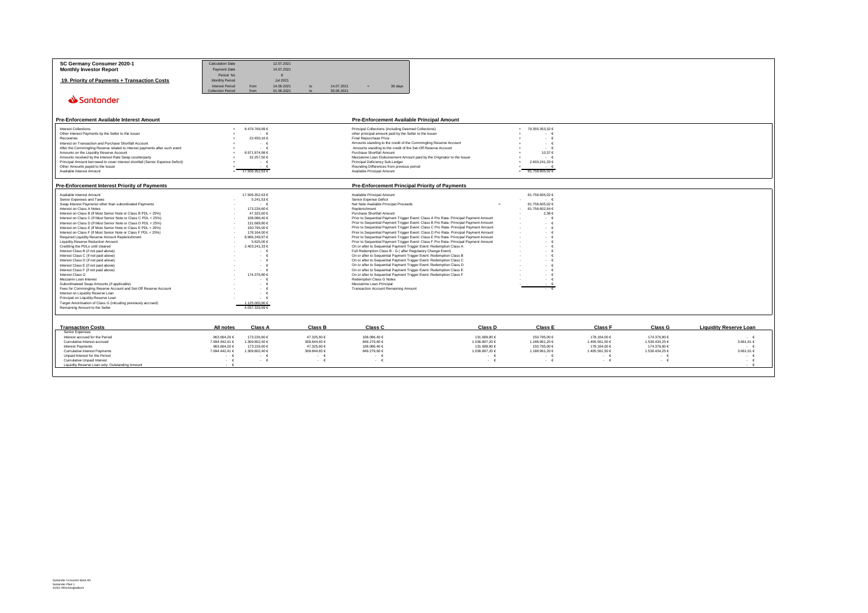| SC Germany Consumer 2020-1                                                     | <b>Calculation Date</b> |                      | 12.07.2021 |                    |                                                                                       |                    |                    |                    |                    |                               |
|--------------------------------------------------------------------------------|-------------------------|----------------------|------------|--------------------|---------------------------------------------------------------------------------------|--------------------|--------------------|--------------------|--------------------|-------------------------------|
|                                                                                |                         |                      |            |                    |                                                                                       |                    |                    |                    |                    |                               |
| <b>Monthly Investor Report</b>                                                 | Payment Date            |                      | 14.07.2021 |                    |                                                                                       |                    |                    |                    |                    |                               |
|                                                                                | Period No               |                      | 8          |                    |                                                                                       |                    |                    |                    |                    |                               |
|                                                                                |                         |                      |            |                    |                                                                                       |                    |                    |                    |                    |                               |
| 19. Priority of Payments + Transaction Costs                                   | <b>Monthly Period</b>   |                      | Jul 2021   |                    |                                                                                       |                    |                    |                    |                    |                               |
|                                                                                | <b>Interest Period</b>  | from                 | 14.06.2021 | to                 | 14.07.2021<br>30 days                                                                 |                    |                    |                    |                    |                               |
|                                                                                |                         |                      |            |                    |                                                                                       |                    |                    |                    |                    |                               |
|                                                                                | Collection Period       | from                 | 01.06.2021 | $\mathbf{t}$       | 30.06.2021                                                                            |                    |                    |                    |                    |                               |
|                                                                                |                         |                      |            |                    |                                                                                       |                    |                    |                    |                    |                               |
| Santander                                                                      |                         |                      |            |                    |                                                                                       |                    |                    |                    |                    |                               |
|                                                                                |                         |                      |            |                    |                                                                                       |                    |                    |                    |                    |                               |
|                                                                                |                         |                      |            |                    |                                                                                       |                    |                    |                    |                    |                               |
|                                                                                |                         |                      |            |                    |                                                                                       |                    |                    |                    |                    |                               |
|                                                                                |                         |                      |            |                    |                                                                                       |                    |                    |                    |                    |                               |
| <b>Pre-Enforcement Available Interest Amount</b>                               |                         |                      |            |                    | <b>Pre-Enforcement Available Principal Amount</b>                                     |                    |                    |                    |                    |                               |
|                                                                                |                         |                      |            |                    |                                                                                       |                    |                    |                    |                    |                               |
| <b>Interest Collections</b>                                                    |                         | 8.479.769,99 €       |            |                    | Principal Collections (including Deemed Collections)                                  |                    | 79.355.353.32 €    |                    |                    |                               |
|                                                                                |                         |                      |            |                    |                                                                                       |                    |                    |                    |                    |                               |
| Other Interest Payments by the Seller to the Issuer                            |                         | $\sim$               |            |                    | other principal amount paid by the Seller to the Issuer                               |                    | $\cdot$ $\in$      |                    |                    |                               |
| Recoveries                                                                     |                         | 22.450,16 €          |            |                    | Final Repurchase Price                                                                |                    | $\cdot$ $\epsilon$ |                    |                    |                               |
| Interest on Transaction and Purchase Shortfall Account                         |                         | $\sim$<br>$\epsilon$ |            |                    | Amounts standing to the credit of the Commingling Reserve Account                     |                    | $\cdot$ $\epsilon$ |                    |                    |                               |
| After the Commingling Reserve related to interest payments after such event    |                         | - 6                  |            |                    | Amounts standing to the credit of the Set-Off Reserve Account                         |                    | - 6                |                    |                    |                               |
|                                                                                |                         | 8.971.874,98 €       |            |                    | Purchase Shortfall Amount                                                             |                    | 10,37 €            |                    |                    |                               |
| Amounts on the Liquidity Reserve Account                                       |                         |                      |            |                    |                                                                                       |                    |                    |                    |                    |                               |
| Amounts received by the Interest Rate Swap counterparty                        |                         | 32.257,50 €          |            |                    | Mezzanine Loan Disbursement Amount paid by the Originator to the Issuer               |                    | - 6                |                    |                    |                               |
| Principal Amount borrowed to cover interest shortfall (Senior Expense Deficit) |                         | $\cdot$ $\epsilon$   |            |                    | Principal Deficiency Sub-Ledger                                                       |                    | 2.403.241,33 €     |                    |                    |                               |
| Other Amounts payed to the Issuer                                              |                         |                      |            |                    | Rounding Differences from previous period                                             |                    |                    |                    |                    |                               |
| Available Interest Amount                                                      |                         | 17.506.352.63 €      |            |                    | Available Principal Amount                                                            |                    | 81,758,605,02 €    |                    |                    |                               |
|                                                                                |                         |                      |            |                    |                                                                                       |                    |                    |                    |                    |                               |
|                                                                                |                         |                      |            |                    |                                                                                       |                    |                    |                    |                    |                               |
|                                                                                |                         |                      |            |                    |                                                                                       |                    |                    |                    |                    |                               |
| Pre-Enforcement Interest Priority of Payments                                  |                         |                      |            |                    | <b>Pre-Enforcement Principal Priority of Payments</b>                                 |                    |                    |                    |                    |                               |
|                                                                                |                         |                      |            |                    |                                                                                       |                    |                    |                    |                    |                               |
| Available Interest Amount                                                      |                         | 17.506.352,63 €      |            |                    | Available Principal Amount                                                            |                    | 81.758.605,02 €    |                    |                    |                               |
| Senior Expenses and Taxes                                                      |                         | 5.241,53 €           |            |                    | Senior Expense Deficit                                                                |                    | $\cdot$ $\epsilon$ |                    |                    |                               |
| Swap Interest Paymenst other than subordinated Payments                        |                         | $\cdot$ $\epsilon$   |            |                    | Net Note Available Principal Proceeds                                                 |                    | 81.758.605.02 €    |                    |                    |                               |
| Interest on Class A Notes                                                      |                         | 173.226,60 €         |            |                    | Replenishment                                                                         |                    | 81.758.602,64 €    |                    |                    |                               |
|                                                                                |                         |                      |            |                    | Purchase Shortfall Amount                                                             |                    |                    |                    |                    |                               |
| Interest on Class B (If Most Senior Note or Class B PDL < 25%)                 |                         | 47,325,60 €          |            |                    |                                                                                       |                    | 2,38 €             |                    |                    |                               |
| Interest on Class C (If Most Senior Note or Class C PDL < 25%)                 |                         | 108.086,40 €         |            |                    | Prior to Sequential Payment Trigger Event: Class A Pro Rata- Principal Payment Amount |                    | - 6                |                    |                    |                               |
| Interest on Class D (If Most Senior Note or Class D PDL < 25%)                 |                         | 131,689.80 €         |            |                    | Prior to Sequential Payment Trigger Event: Class B Pro Rata- Principal Payment Amount |                    | $\cdot$ $\epsilon$ |                    |                    |                               |
| Interest on Class E (If Most Senior Note or Class E PDL < 25%)                 |                         | 150.795.00 €         |            |                    | Prior to Sequential Payment Trigger Event: Class C Pro Rata- Principal Payment Amount |                    | $\cdot$ $\epsilon$ |                    |                    |                               |
| Interest on Class F (If Most Senior Note or Class F PDL < 25%)                 |                         | 178.164,00 €         |            |                    | Prior to Sequential Payment Trigger Event: Class D Pro Rata- Principal Payment Amount |                    | $\cdot$ $\epsilon$ |                    |                    |                               |
|                                                                                |                         |                      |            |                    |                                                                                       |                    |                    |                    |                    |                               |
| Required Liquidity Reserve Amount Replenishment                                |                         | 8.966.249,97 €       |            |                    | Prior to Sequential Payment Trigger Event: Class E Pro Rata- Principal Payment Amount |                    | $\cdot$ $\epsilon$ |                    |                    |                               |
| Liquidity Reserve Reduction Amount                                             |                         | 5.625,00 €           |            |                    | Prior to Sequential Payment Trigger Event: Class F Pro Rata- Principal Payment Amount |                    | $\cdot$ $\epsilon$ |                    |                    |                               |
| Crediting the PDLs until cleared                                               |                         | 2.403.241,33 €       |            |                    | On or after to Sequential Payment Trigger Event: Redemption Class A                   |                    | $\cdot$ $\epsilon$ |                    |                    |                               |
| Interest Class B (if not paid above)                                           |                         | - 6                  |            |                    | Full Redemption Class B - G (after Regulatory Change Event)                           |                    | $\cdot$ $\epsilon$ |                    |                    |                               |
| Interest Class C (if not paid above)                                           |                         | $\cdot$ $\epsilon$   |            |                    | On or after to Sequential Payment Trigger Event: Redemption Class B                   |                    | $\cdot$ $\epsilon$ |                    |                    |                               |
|                                                                                |                         | $\cdot$ $\epsilon$   |            |                    |                                                                                       |                    | $\cdot$ $\epsilon$ |                    |                    |                               |
| Interest Class D (if not paid above)                                           |                         |                      |            |                    | On or after to Sequential Payment Trigger Event: Redemption Class C                   |                    |                    |                    |                    |                               |
| Interest Class E (if not paid above)                                           |                         | $\cdot$ $\epsilon$   |            |                    | On or after to Sequential Payment Trigger Event: Redemption Class D                   |                    | $\cdot$ $\epsilon$ |                    |                    |                               |
| Interest Class F (if not paid above)                                           |                         | $\sim$               |            |                    | On or after to Sequential Payment Trigger Event: Redemption Class E                   |                    | $\cdot$ $\epsilon$ |                    |                    |                               |
| Interest Class G                                                               |                         | 174 376 80 €         |            |                    | On or after to Sequential Payment Trigger Event: Redemption Class F                   |                    | $\cdot$ $\epsilon$ |                    |                    |                               |
| Mezzanin Loan Interest                                                         |                         | $\sim$<br>- 6        |            |                    | Redemption Class G Notes                                                              |                    | $\cdot$ $\epsilon$ |                    |                    |                               |
| Subordinateed Swap Amounts (if applicable)                                     |                         | $\sim$               |            |                    | Mezzanine Loan Principal                                                              |                    |                    |                    |                    |                               |
|                                                                                |                         |                      |            |                    |                                                                                       |                    |                    |                    |                    |                               |
| Fees for Commingling Reserve Account and Set-Off Reserve Account               |                         | - 6                  |            |                    | <b>Transaction Account Remaining Amount</b>                                           |                    |                    |                    |                    |                               |
| Interest on Liquidity Reserve Loan                                             |                         | $\cdot$ $\epsilon$   |            |                    |                                                                                       |                    |                    |                    |                    |                               |
| Principal on Liquidity Reserve Loan                                            |                         | - 6                  |            |                    |                                                                                       |                    |                    |                    |                    |                               |
| Target Amortisation of Class G (inlcuding previously accrued)                  |                         | 1.125.000.90 €       |            |                    |                                                                                       |                    |                    |                    |                    |                               |
| Remaining Amount to the Seller                                                 |                         | 4.037.329,69 €       |            |                    |                                                                                       |                    |                    |                    |                    |                               |
|                                                                                |                         |                      |            |                    |                                                                                       |                    |                    |                    |                    |                               |
|                                                                                |                         |                      |            |                    |                                                                                       |                    |                    |                    |                    |                               |
|                                                                                |                         |                      |            |                    |                                                                                       |                    |                    |                    |                    |                               |
|                                                                                |                         |                      |            |                    |                                                                                       |                    |                    |                    |                    |                               |
|                                                                                |                         | <b>Class A</b>       |            | Class B            | Class C                                                                               | <b>Class D</b>     | <b>Class E</b>     | <b>Class F</b>     | Class G            | <b>Liquidity Reserve Loan</b> |
| <b>Transaction Costs</b>                                                       | All notes               |                      |            |                    |                                                                                       |                    |                    |                    |                    |                               |
| Senior Expenses                                                                |                         |                      |            |                    |                                                                                       |                    |                    |                    |                    |                               |
| Interest accrued for the Period                                                | 963.664,20 €            | 173.226,60 €         |            | 47.325,60 €        | 108.086,40 €                                                                          | 131,689.80 €       | 150.795,00 €       | 178.164,00 €       | 174.376,80 €       | $\cdot$ $\epsilon$            |
| Cumulative Interest accrued                                                    | 7.694.442.41 €          | 1.309.802.40 €       |            | 369.844.65 €       | 849.279.60 €                                                                          | 1.036.897.20 €     | 1.188.961.20 €     | 1.405.561.50 €     | 1.530.434.25 €     | 3.661.61 €                    |
|                                                                                |                         |                      |            |                    |                                                                                       |                    |                    |                    |                    |                               |
| Interest Payments                                                              | 963.664,20 €            | 173.226,60 €         |            | 47.325,60 €        | 108.086,40 €                                                                          | 131.689,80 €       | 150.795,00 €       | 178.164,00 €       | 174.376,80 €       | $\cdot$ $\epsilon$            |
| <b>Cumulative Interest Payments</b>                                            | 7.694.442,41 €          | 1.309.802.40 €       |            | 369.844.65 €       | 849.279,60 €                                                                          | 1.036.897.20 €     | 1.188.961.20 €     | 1.405.561.50 €     | 1.530.434.25 €     | 3.661.61 €                    |
| Unpaid Interest for the Period                                                 | $\cdot \cdot \epsilon$  | - 6                  |            | - 6                | - 6                                                                                   | $\cdot$ $\epsilon$ | $\cdot$ $\epsilon$ | $\cdot$ $\epsilon$ | $\cdot$ $\epsilon$ | $\cdot$ $\epsilon$            |
| Cumulative Unpaid Interest                                                     | $\cdot$ $\epsilon$      | $\cdot$ $\epsilon$   |            | $\cdot$ $\epsilon$ | $\cdot$ $\epsilon$                                                                    | $\cdot$ $\epsilon$ | $\cdot$ $\epsilon$ | $\cdot$ $\in$      | $\cdot$ $\in$      | $\cdot \in$                   |
| Liquidity Reserve Loan only: Outstanding Amount                                | $\cdot$ $\epsilon$      |                      |            |                    |                                                                                       |                    |                    |                    |                    |                               |
|                                                                                |                         |                      |            |                    |                                                                                       |                    |                    |                    |                    |                               |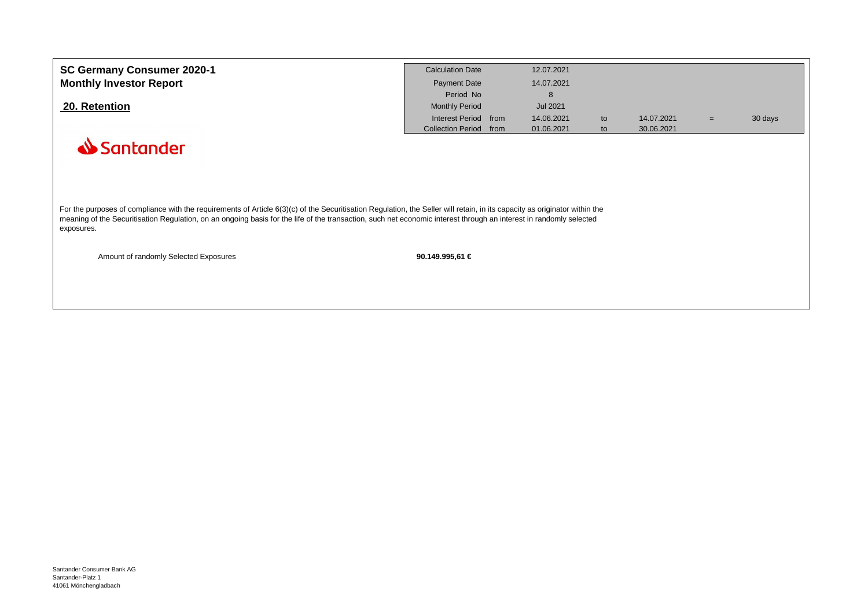| SC Germany Consumer 2020-1                                                                                                                                                                                                                                                                                                                       | <b>Calculation Date</b>          | 12.07.2021      |    |            |     |         |
|--------------------------------------------------------------------------------------------------------------------------------------------------------------------------------------------------------------------------------------------------------------------------------------------------------------------------------------------------|----------------------------------|-----------------|----|------------|-----|---------|
| <b>Monthly Investor Report</b>                                                                                                                                                                                                                                                                                                                   | <b>Payment Date</b>              | 14.07.2021      |    |            |     |         |
|                                                                                                                                                                                                                                                                                                                                                  | Period No                        | 8               |    |            |     |         |
| 20. Retention                                                                                                                                                                                                                                                                                                                                    | <b>Monthly Period</b>            | <b>Jul 2021</b> |    |            |     |         |
|                                                                                                                                                                                                                                                                                                                                                  | Interest Period from             | 14.06.2021      | to | 14.07.2021 | $=$ | 30 days |
|                                                                                                                                                                                                                                                                                                                                                  | <b>Collection Period</b><br>from | 01.06.2021      | to | 30.06.2021 |     |         |
| Santander                                                                                                                                                                                                                                                                                                                                        |                                  |                 |    |            |     |         |
|                                                                                                                                                                                                                                                                                                                                                  |                                  |                 |    |            |     |         |
|                                                                                                                                                                                                                                                                                                                                                  |                                  |                 |    |            |     |         |
|                                                                                                                                                                                                                                                                                                                                                  |                                  |                 |    |            |     |         |
|                                                                                                                                                                                                                                                                                                                                                  |                                  |                 |    |            |     |         |
| For the purposes of compliance with the requirements of Article 6(3)(c) of the Securitisation Regulation, the Seller will retain, in its capacity as originator within the<br>meaning of the Securitisation Regulation, on an ongoing basis for the life of the transaction, such net economic interest through an interest in randomly selected |                                  |                 |    |            |     |         |
| exposures.                                                                                                                                                                                                                                                                                                                                       |                                  |                 |    |            |     |         |
|                                                                                                                                                                                                                                                                                                                                                  |                                  |                 |    |            |     |         |
| Amount of randomly Selected Exposures                                                                                                                                                                                                                                                                                                            | 90.149.995,61 €                  |                 |    |            |     |         |
|                                                                                                                                                                                                                                                                                                                                                  |                                  |                 |    |            |     |         |
|                                                                                                                                                                                                                                                                                                                                                  |                                  |                 |    |            |     |         |
|                                                                                                                                                                                                                                                                                                                                                  |                                  |                 |    |            |     |         |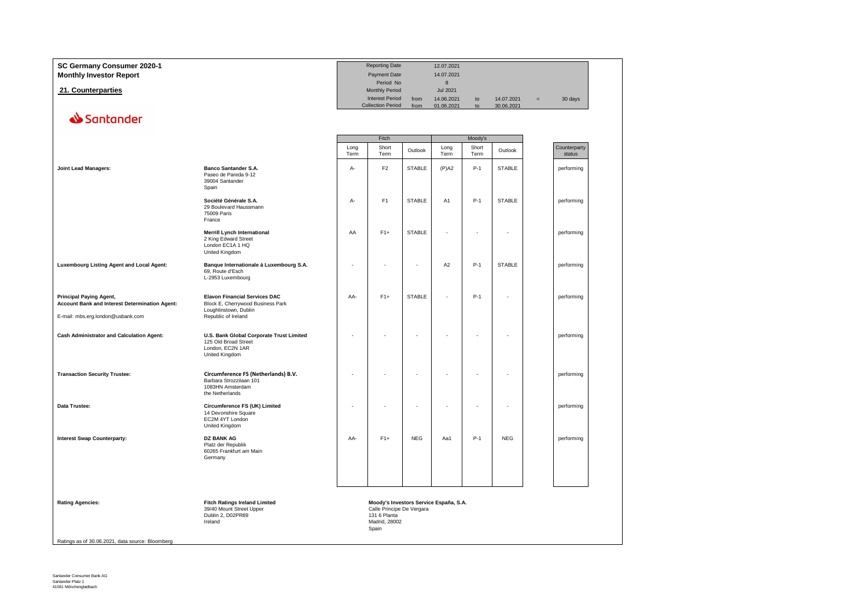| SC Germany Consumer 2020-1<br><b>Monthly Investor Report</b>                                                                 |                                                                                                                           |              | <b>Reporting Date</b><br><b>Payment Date</b><br>Period No                                                     |               | 12.07.2021<br>14.07.2021<br>$\boldsymbol{8}$ |               |                          |     |                        |
|------------------------------------------------------------------------------------------------------------------------------|---------------------------------------------------------------------------------------------------------------------------|--------------|---------------------------------------------------------------------------------------------------------------|---------------|----------------------------------------------|---------------|--------------------------|-----|------------------------|
| 21. Counterparties                                                                                                           |                                                                                                                           |              | Monthly Period<br><b>Interest Period</b><br><b>Collection Period</b>                                          | from<br>from  | <b>Jul 2021</b><br>14.06.2021<br>01.06.2021  | to<br>to      | 14.07.2021<br>30.06.2021 | $=$ | 30 days                |
| Santander                                                                                                                    |                                                                                                                           |              |                                                                                                               |               |                                              |               |                          |     |                        |
|                                                                                                                              |                                                                                                                           |              | Fitch                                                                                                         |               |                                              | Moody's       |                          |     |                        |
|                                                                                                                              |                                                                                                                           | Long<br>Term | Short<br>Term                                                                                                 | Outlook       | Long<br>Term                                 | Short<br>Term | Outlook                  |     | Counterparty<br>status |
| <b>Joint Lead Managers:</b>                                                                                                  | <b>Banco Santander S.A.</b><br>Paseo de Pareda 9-12<br>39004 Santander<br>Spain                                           | $A -$        | F <sub>2</sub>                                                                                                | <b>STABLE</b> | $(P)$ A2                                     | $P-1$         | <b>STABLE</b>            |     | performing             |
|                                                                                                                              | Société Générale S.A.<br>29 Boulevard Haussmann<br>75009 Paris<br>France                                                  | A-           | F <sub>1</sub>                                                                                                | <b>STABLE</b> | A <sub>1</sub>                               | $P-1$         | <b>STABLE</b>            |     | performing             |
|                                                                                                                              | <b>Merrill Lynch International</b><br>2 King Edward Street<br>London EC1A 1 HQ<br>United Kingdom                          | AA           | $F1+$                                                                                                         | <b>STABLE</b> | ÷                                            |               | ٠                        |     | performing             |
| Luxembourg Listing Agent and Local Agent:                                                                                    | Banque Internationale à Luxembourg S.A.<br>69, Route d'Esch<br>L-2953 Luxembourg                                          | ÷,           |                                                                                                               | ÷,            | A <sub>2</sub>                               | $P-1$         | <b>STABLE</b>            |     | performing             |
| <b>Principal Paying Agent,</b><br><b>Account Bank and Interest Determination Agent:</b><br>E-mail: mbs.erg.london@usbank.com | <b>Elavon Financial Services DAC</b><br>Block E, Cherrywood Business Park<br>Loughlinstown, Dublin<br>Republic of Ireland | AA-          | $F1+$                                                                                                         | <b>STABLE</b> | Ĭ.                                           | $P-1$         | ÷                        |     | performing             |
| <b>Cash Administrator and Calculation Agent:</b>                                                                             | U.S. Bank Global Corporate Trust Limited<br>125 Old Broad Street<br>London, EC2N 1AR<br>United Kingdom                    |              |                                                                                                               |               |                                              |               | ٠                        |     | performing             |
| <b>Transaction Security Trustee:</b>                                                                                         | Circumference FS (Netherlands) B.V.<br>Barbara Strozzilaan 101<br>1083HN Amsterdam<br>the Netherlands                     |              |                                                                                                               |               |                                              |               |                          |     | performing             |
| Data Trustee:                                                                                                                | Circumference FS (UK) Limited<br>14 Devonshire Square<br>EC2M 4YT London<br>United Kingdom                                |              |                                                                                                               |               |                                              |               |                          |     | performing             |
| <b>Interest Swap Counterparty:</b>                                                                                           | <b>DZ BANK AG</b><br>Platz der Republik<br>60265 Frankfurt am Main<br>Germany                                             | AA-          | $F1+$                                                                                                         | <b>NEG</b>    | Aa1                                          | $P-1$         | <b>NEG</b>               |     | performing             |
| <b>Rating Agencies:</b>                                                                                                      | <b>Fitch Ratings Ireland Limited</b><br>39/40 Mount Street Upper<br>Dublin 2, D02PR89<br>Ireland                          |              | Moody's Investors Service España, S.A.<br>Calle Principe De Vergara<br>131 6 Planta<br>Madrid, 28002<br>Spain |               |                                              |               |                          |     |                        |

Ratings as of 30.06.2021, data source: Bloomberg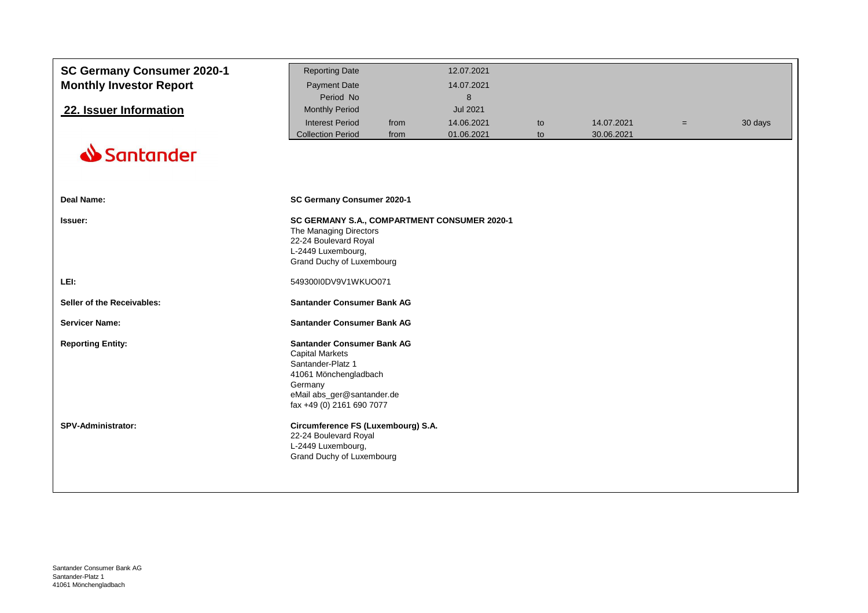| SC Germany Consumer 2020-1<br><b>Monthly Investor Report</b><br>22. Issuer Information | <b>Reporting Date</b><br><b>Payment Date</b><br>Period No<br><b>Monthly Period</b>                                                                                              |              | 12.07.2021<br>14.07.2021<br>8<br><b>Jul 2021</b> |          |                          |     |         |
|----------------------------------------------------------------------------------------|---------------------------------------------------------------------------------------------------------------------------------------------------------------------------------|--------------|--------------------------------------------------|----------|--------------------------|-----|---------|
|                                                                                        | <b>Interest Period</b><br><b>Collection Period</b>                                                                                                                              | from<br>from | 14.06.2021<br>01.06.2021                         | to<br>to | 14.07.2021<br>30.06.2021 | $=$ | 30 days |
| Santander                                                                              |                                                                                                                                                                                 |              |                                                  |          |                          |     |         |
| <b>Deal Name:</b>                                                                      | SC Germany Consumer 2020-1                                                                                                                                                      |              |                                                  |          |                          |     |         |
| Issuer:                                                                                | The Managing Directors<br>22-24 Boulevard Royal<br>L-2449 Luxembourg,<br>Grand Duchy of Luxembourg                                                                              |              | SC GERMANY S.A., COMPARTMENT CONSUMER 2020-1     |          |                          |     |         |
| LEI:                                                                                   | 549300I0DV9V1WKUO071                                                                                                                                                            |              |                                                  |          |                          |     |         |
| Seller of the Receivables:                                                             | <b>Santander Consumer Bank AG</b>                                                                                                                                               |              |                                                  |          |                          |     |         |
| <b>Servicer Name:</b>                                                                  | <b>Santander Consumer Bank AG</b>                                                                                                                                               |              |                                                  |          |                          |     |         |
| <b>Reporting Entity:</b>                                                               | <b>Santander Consumer Bank AG</b><br><b>Capital Markets</b><br>Santander-Platz 1<br>41061 Mönchengladbach<br>Germany<br>eMail abs_ger@santander.de<br>fax +49 (0) 2161 690 7077 |              |                                                  |          |                          |     |         |
| <b>SPV-Administrator:</b>                                                              | Circumference FS (Luxembourg) S.A.<br>22-24 Boulevard Royal<br>L-2449 Luxembourg,<br>Grand Duchy of Luxembourg                                                                  |              |                                                  |          |                          |     |         |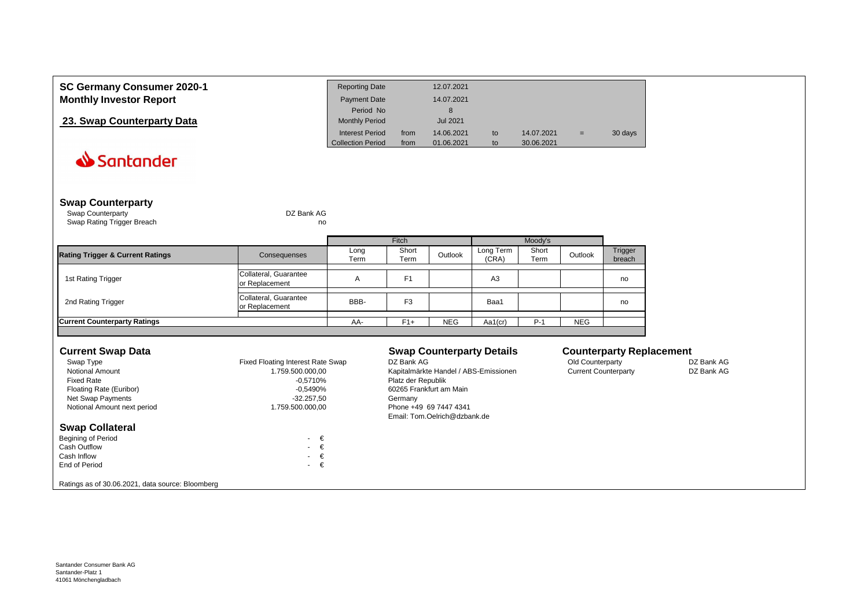| SC Germany Consumer 2020-1     | <b>Reporting Date</b>    |      | 12.07.2021      |    |            |     |         |
|--------------------------------|--------------------------|------|-----------------|----|------------|-----|---------|
| <b>Monthly Investor Report</b> | Payment Date             |      | 14.07.2021      |    |            |     |         |
|                                | Period No                |      | 8               |    |            |     |         |
| 23. Swap Counterparty Data     | <b>Monthly Period</b>    |      | <b>Jul 2021</b> |    |            |     |         |
|                                | <b>Interest Period</b>   | from | 14.06.2021      | to | 14.07.2021 | $=$ | 30 days |
|                                | <b>Collection Period</b> | from | 01.06.2021      | to | 30.06.2021 |     |         |

## **Swap Counterparty**

 Swap Counterparty DZ Bank AGSwap Rating Trigger Breach

no not a contract the contract of the contract of the contract of the contract of the contract of the contract of the contract of the contract of the contract of the contract of the contract of the contract of the contract of

|                                             |                                         |              | <b>Fitch</b>   |            |                    | Moody's       |            |                   |
|---------------------------------------------|-----------------------------------------|--------------|----------------|------------|--------------------|---------------|------------|-------------------|
| <b>Rating Trigger &amp; Current Ratings</b> | Consequenses                            | Long<br>Term | Short<br>Term  | Outlook    | Long Term<br>(CRA) | Short<br>Term | Outlook    | Trigger<br>breach |
| 1st Rating Trigger                          | Collateral, Guarantee<br>or Replacement | A            | Ε1             |            | A <sub>3</sub>     |               |            | no                |
| 2nd Rating Trigger                          | Collateral, Guarantee<br>or Replacement | BBB-         | F <sub>3</sub> |            | Baa1               |               |            | no                |
| <b>Current Counterparty Ratings</b>         |                                         | AA-          | $F1+$          | <b>NEG</b> | Aa1(cr)            | P-1           | <b>NEG</b> |                   |

## **Current Swap Data**

| <b>Current Swap Data</b>                         |                                   | <b>Swap Counterparty Details</b>      | <b>Counterparty Replacement</b> |            |
|--------------------------------------------------|-----------------------------------|---------------------------------------|---------------------------------|------------|
| Swap Type                                        | Fixed Floating Interest Rate Swap | DZ Bank AG                            | Old Counterparty                | DZ Bank AG |
| <b>Notional Amount</b>                           | 1.759.500.000.00                  | Kapitalmärkte Handel / ABS-Emissionen | <b>Current Counterparty</b>     | DZ Bank AG |
| <b>Fixed Rate</b>                                | -0.5710%                          | Platz der Republik                    |                                 |            |
| Floating Rate (Euribor)                          | -0.5490%                          | 60265 Frankfurt am Main               |                                 |            |
| Net Swap Payments                                | $-32.257.50$                      | Germany                               |                                 |            |
| Notional Amount next period                      | 1.759.500.000.00                  | Phone +49 69 7447 4341                |                                 |            |
|                                                  |                                   | Email: Tom.Oelrich@dzbank.de          |                                 |            |
| <b>Swap Collateral</b>                           |                                   |                                       |                                 |            |
| <b>Begining of Period</b>                        | €<br>$\sim$                       |                                       |                                 |            |
| <b>Cash Outflow</b>                              | $\cdot \in$                       |                                       |                                 |            |
| Cash Inflow                                      | €<br>$\sim$                       |                                       |                                 |            |
| End of Period                                    | €<br>$\sim$                       |                                       |                                 |            |
| Ratings as of 30.06.2021, data source: Bloomberg |                                   |                                       |                                 |            |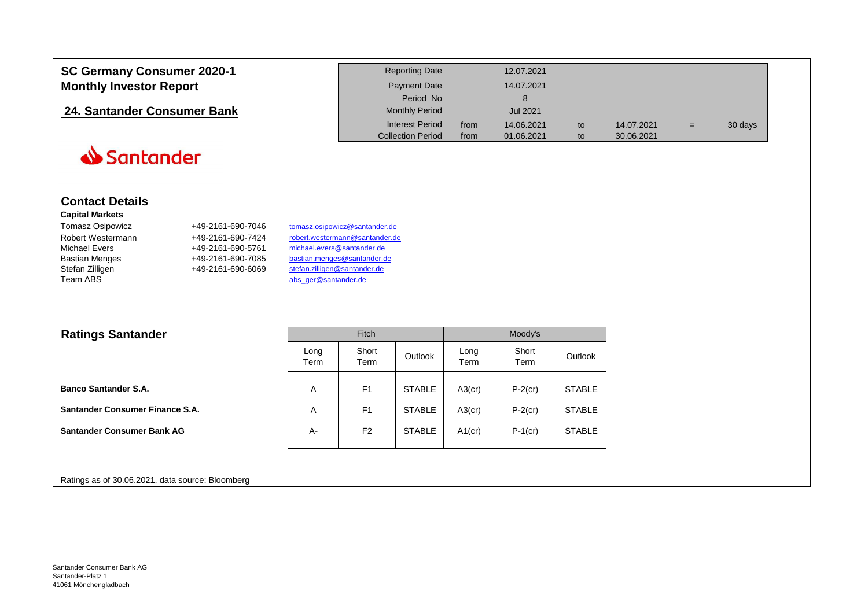| <b>SC Germany Consumer 2020-1</b> | <b>Reporting Date</b>    |      | 12.07.2021 |    |            |     |         |
|-----------------------------------|--------------------------|------|------------|----|------------|-----|---------|
| <b>Monthly Investor Report</b>    | <b>Payment Date</b>      |      | 14.07.2021 |    |            |     |         |
|                                   | Period No                |      |            |    |            |     |         |
| 24. Santander Consumer Bank       | <b>Monthly Period</b>    |      | Jul 2021   |    |            |     |         |
|                                   | Interest Period          | from | 14.06.2021 | to | 14.07.2021 | $=$ | 30 days |
|                                   | <b>Collection Period</b> | from | 01.06.2021 |    | 30.06.2021 |     |         |

Moody's

Santander

## **Contact Details**

## **Capital Markets**

| Tomasz Osipowicz      |  |
|-----------------------|--|
| Robert Westermann     |  |
| <b>Michael Evers</b>  |  |
| <b>Bastian Menges</b> |  |
| Stefan Zilligen       |  |
| Team ABS              |  |

+49-2161-690-7046 Robert Westermann +49-2161-690-7424+49-2161-690-5761 Bastian Menges +49-2161-690-7085+49-2161-690-6069  tomasz.osipowicz@santander.de robert.westermann@santander.de michael.evers@santander.de bastian.menges@santander.de stefan.zilligen@santander.de abs\_ger@santander.de

## **Ratings Santander**

| Ratings Santanger                 |              | <b>Fitch</b>   |               |              | <b>IVIOOQV'S</b> |               |
|-----------------------------------|--------------|----------------|---------------|--------------|------------------|---------------|
|                                   | Long<br>Term | Short<br>Term  | Outlook       | Long<br>Term | Short<br>Term    | Outlook       |
| <b>Banco Santander S.A.</b>       | A            | F <sub>1</sub> | <b>STABLE</b> | $A3$ (cr)    | $P-2$ (cr)       | <b>STABLE</b> |
| Santander Consumer Finance S.A.   | A            | F <sub>1</sub> | <b>STABLE</b> | $A3$ (cr)    | $P-2$ (cr)       | <b>STABLE</b> |
| <b>Santander Consumer Bank AG</b> | А-           | F <sub>2</sub> | <b>STABLE</b> | $A1$ (cr)    | $P-1$ (cr)       | <b>STABLE</b> |
|                                   |              |                |               |              |                  |               |

Fitch

## Ratings as of 30.06.2021, data source: Bloomberg